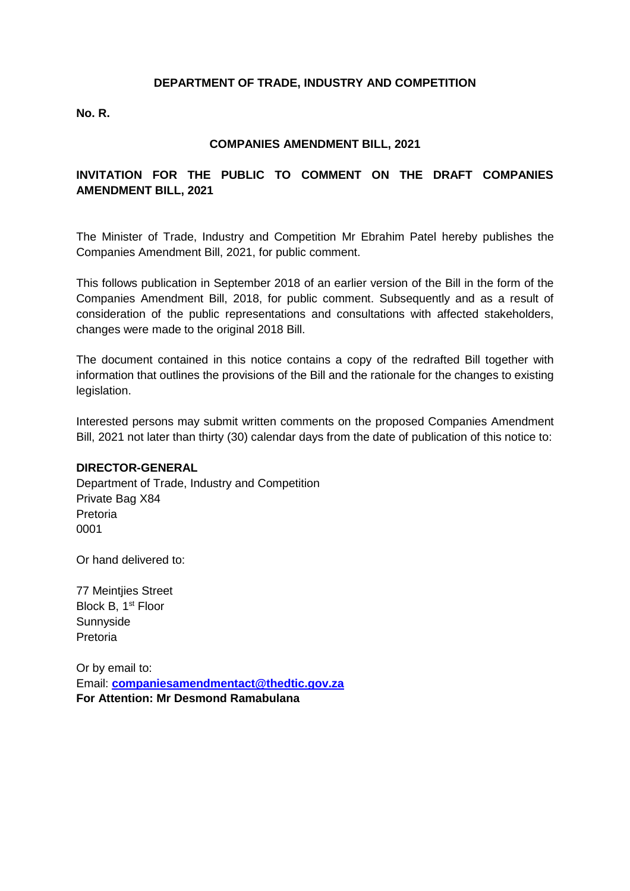#### **DEPARTMENT OF TRADE, INDUSTRY AND COMPETITION**

**No. R.**

### **COMPANIES AMENDMENT BILL, 2021**

## **INVITATION FOR THE PUBLIC TO COMMENT ON THE DRAFT COMPANIES AMENDMENT BILL, 2021**

The Minister of Trade, Industry and Competition Mr Ebrahim Patel hereby publishes the Companies Amendment Bill, 2021, for public comment.

This follows publication in September 2018 of an earlier version of the Bill in the form of the Companies Amendment Bill, 2018, for public comment. Subsequently and as a result of consideration of the public representations and consultations with affected stakeholders, changes were made to the original 2018 Bill.

The document contained in this notice contains a copy of the redrafted Bill together with information that outlines the provisions of the Bill and the rationale for the changes to existing legislation.

Interested persons may submit written comments on the proposed Companies Amendment Bill, 2021 not later than thirty (30) calendar days from the date of publication of this notice to:

#### **DIRECTOR-GENERAL**

Department of Trade, Industry and Competition Private Bag X84 Pretoria 0001

Or hand delivered to:

77 Meintjies Street Block B, 1<sup>st</sup> Floor Sunnyside Pretoria

Or by email to: Email: **[companiesamendmentact@thedtic.gov.za](mailto:companiesamendmentact@thedtic.gov.za) For Attention: Mr Desmond Ramabulana**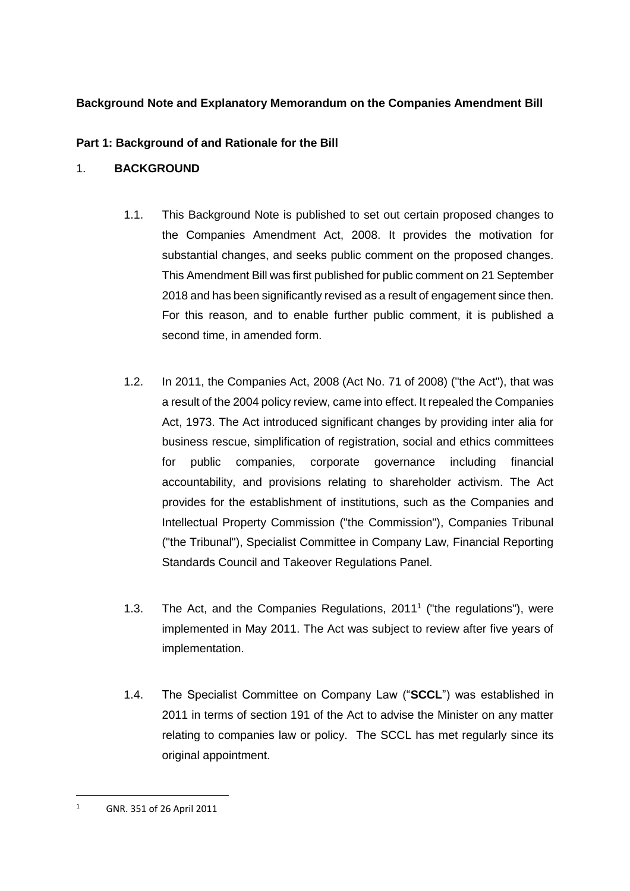# **Background Note and Explanatory Memorandum on the Companies Amendment Bill**

# **Part 1: Background of and Rationale for the Bill**

# 1. **BACKGROUND**

- 1.1. This Background Note is published to set out certain proposed changes to the Companies Amendment Act, 2008. It provides the motivation for substantial changes, and seeks public comment on the proposed changes. This Amendment Bill was first published for public comment on 21 September 2018 and has been significantly revised as a result of engagement since then. For this reason, and to enable further public comment, it is published a second time, in amended form.
- 1.2. In 2011, the Companies Act, 2008 (Act No. 71 of 2008) ("the Act"), that was a result of the 2004 policy review, came into effect. It repealed the Companies Act, 1973. The Act introduced significant changes by providing inter alia for business rescue, simplification of registration, social and ethics committees for public companies, corporate governance including financial accountability, and provisions relating to shareholder activism. The Act provides for the establishment of institutions, such as the Companies and Intellectual Property Commission ("the Commission"), Companies Tribunal ("the Tribunal"), Specialist Committee in Company Law, Financial Reporting Standards Council and Takeover Regulations Panel.
- 1.3. The Act, and the Companies Regulations, 2011<sup>1</sup> ("the regulations"), were implemented in May 2011. The Act was subject to review after five years of implementation.
- 1.4. The Specialist Committee on Company Law ("**SCCL**") was established in 2011 in terms of section 191 of the Act to advise the Minister on any matter relating to companies law or policy. The SCCL has met regularly since its original appointment.

 $\overline{a}$ 

<sup>1</sup> GNR. 351 of 26 April 2011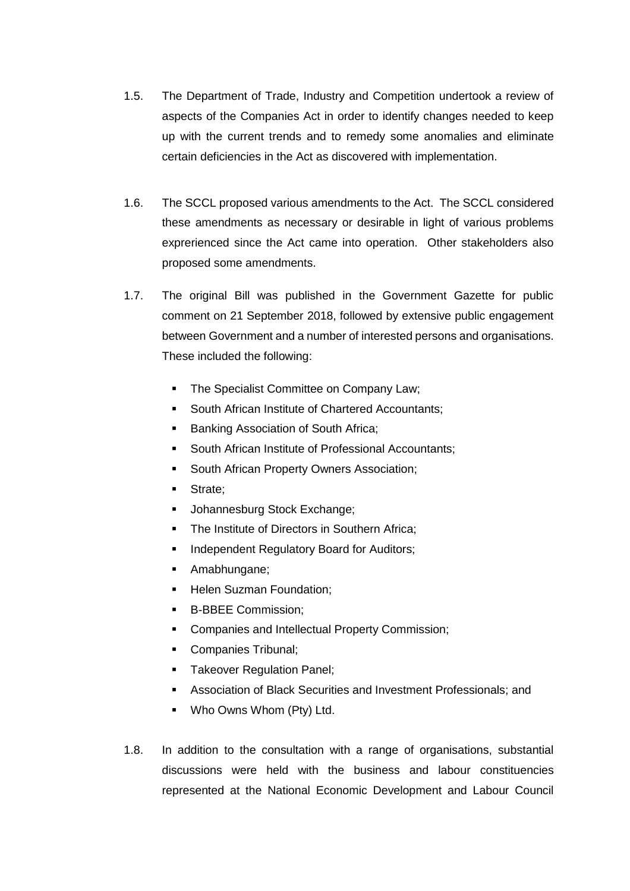- 1.5. The Department of Trade, Industry and Competition undertook a review of aspects of the Companies Act in order to identify changes needed to keep up with the current trends and to remedy some anomalies and eliminate certain deficiencies in the Act as discovered with implementation.
- 1.6. The SCCL proposed various amendments to the Act. The SCCL considered these amendments as necessary or desirable in light of various problems exprerienced since the Act came into operation. Other stakeholders also proposed some amendments.
- 1.7. The original Bill was published in the Government Gazette for public comment on 21 September 2018, followed by extensive public engagement between Government and a number of interested persons and organisations. These included the following:
	- **The Specialist Committee on Company Law;**
	- **South African Institute of Chartered Accountants;**
	- Banking Association of South Africa;
	- South African Institute of Professional Accountants;
	- **South African Property Owners Association;**
	- **Strate**;
	- **Johannesburg Stock Exchange;**
	- The Institute of Directors in Southern Africa;
	- Independent Regulatory Board for Auditors;
	- **Amabhungane**;
	- **Helen Suzman Foundation;**
	- B-BBEE Commission;
	- **Companies and Intellectual Property Commission;**
	- Companies Tribunal;
	- **Takeover Regulation Panel;**
	- Association of Black Securities and Investment Professionals; and
	- Who Owns Whom (Pty) Ltd.
- 1.8. In addition to the consultation with a range of organisations, substantial discussions were held with the business and labour constituencies represented at the National Economic Development and Labour Council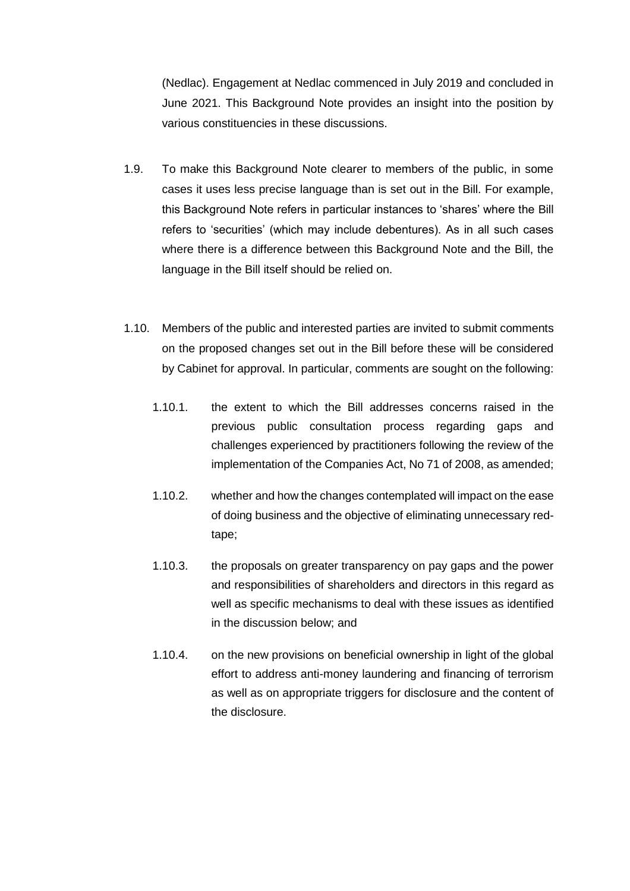(Nedlac). Engagement at Nedlac commenced in July 2019 and concluded in June 2021. This Background Note provides an insight into the position by various constituencies in these discussions.

- 1.9. To make this Background Note clearer to members of the public, in some cases it uses less precise language than is set out in the Bill. For example, this Background Note refers in particular instances to 'shares' where the Bill refers to 'securities' (which may include debentures). As in all such cases where there is a difference between this Background Note and the Bill, the language in the Bill itself should be relied on.
- 1.10. Members of the public and interested parties are invited to submit comments on the proposed changes set out in the Bill before these will be considered by Cabinet for approval. In particular, comments are sought on the following:
	- 1.10.1. the extent to which the Bill addresses concerns raised in the previous public consultation process regarding gaps and challenges experienced by practitioners following the review of the implementation of the Companies Act, No 71 of 2008, as amended;
	- 1.10.2. whether and how the changes contemplated will impact on the ease of doing business and the objective of eliminating unnecessary redtape;
	- 1.10.3. the proposals on greater transparency on pay gaps and the power and responsibilities of shareholders and directors in this regard as well as specific mechanisms to deal with these issues as identified in the discussion below; and
	- 1.10.4. on the new provisions on beneficial ownership in light of the global effort to address anti-money laundering and financing of terrorism as well as on appropriate triggers for disclosure and the content of the disclosure.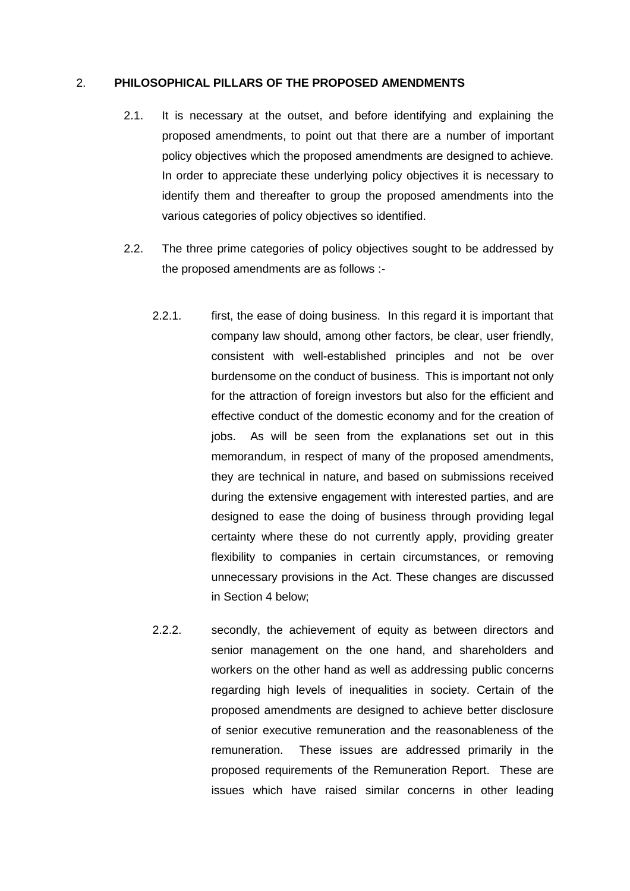#### <span id="page-4-1"></span>2. **PHILOSOPHICAL PILLARS OF THE PROPOSED AMENDMENTS**

- 2.1. It is necessary at the outset, and before identifying and explaining the proposed amendments, to point out that there are a number of important policy objectives which the proposed amendments are designed to achieve. In order to appreciate these underlying policy objectives it is necessary to identify them and thereafter to group the proposed amendments into the various categories of policy objectives so identified.
- <span id="page-4-2"></span><span id="page-4-0"></span>2.2. The three prime categories of policy objectives sought to be addressed by the proposed amendments are as follows :-
	- 2.2.1. first, the ease of doing business. In this regard it is important that company law should, among other factors, be clear, user friendly, consistent with well-established principles and not be over burdensome on the conduct of business. This is important not only for the attraction of foreign investors but also for the efficient and effective conduct of the domestic economy and for the creation of jobs. As will be seen from the explanations set out in this memorandum, in respect of many of the proposed amendments, they are technical in nature, and based on submissions received during the extensive engagement with interested parties, and are designed to ease the doing of business through providing legal certainty where these do not currently apply, providing greater flexibility to companies in certain circumstances, or removing unnecessary provisions in the Act. These changes are discussed in Section 4 below;
	- 2.2.2. secondly, the achievement of equity as between directors and senior management on the one hand, and shareholders and workers on the other hand as well as addressing public concerns regarding high levels of inequalities in society. Certain of the proposed amendments are designed to achieve better disclosure of senior executive remuneration and the reasonableness of the remuneration. These issues are addressed primarily in the proposed requirements of the Remuneration Report. These are issues which have raised similar concerns in other leading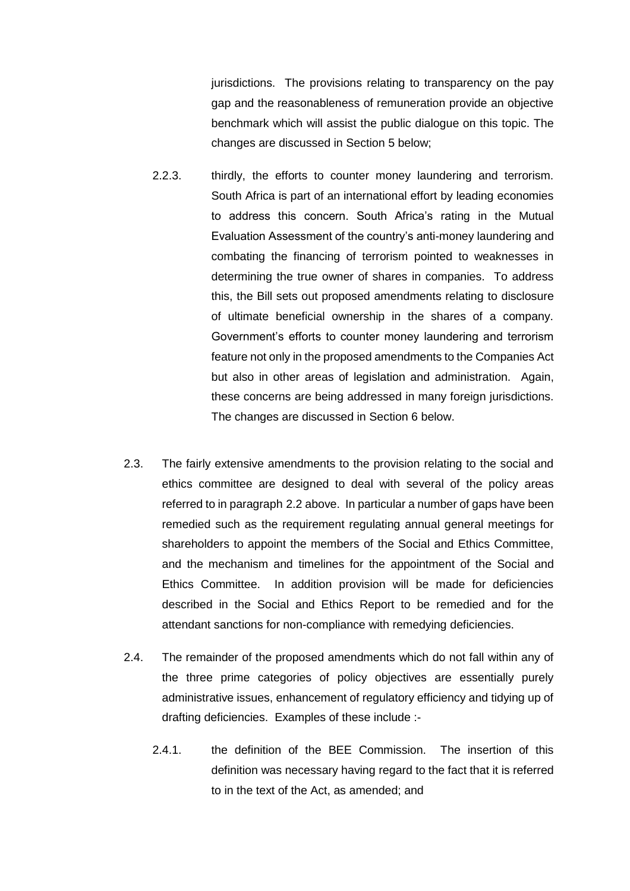jurisdictions. The provisions relating to transparency on the pay gap and the reasonableness of remuneration provide an objective benchmark which will assist the public dialogue on this topic. The changes are discussed in Section 5 below;

- 2.2.3. thirdly, the efforts to counter money laundering and terrorism. South Africa is part of an international effort by leading economies to address this concern. South Africa's rating in the Mutual Evaluation Assessment of the country's anti-money laundering and combating the financing of terrorism pointed to weaknesses in determining the true owner of shares in companies. To address this, the Bill sets out proposed amendments relating to disclosure of ultimate beneficial ownership in the shares of a company. Government's efforts to counter money laundering and terrorism feature not only in the proposed amendments to the Companies Act but also in other areas of legislation and administration. Again, these concerns are being addressed in many foreign jurisdictions. The changes are discussed in Section 6 below.
- 2.3. The fairly extensive amendments to the provision relating to the social and ethics committee are designed to deal with several of the policy areas referred to in paragraph [2.2](#page-4-0) above. In particular a number of gaps have been remedied such as the requirement regulating annual general meetings for shareholders to appoint the members of the Social and Ethics Committee, and the mechanism and timelines for the appointment of the Social and Ethics Committee. In addition provision will be made for deficiencies described in the Social and Ethics Report to be remedied and for the attendant sanctions for non-compliance with remedying deficiencies.
- 2.4. The remainder of the proposed amendments which do not fall within any of the three prime categories of policy objectives are essentially purely administrative issues, enhancement of regulatory efficiency and tidying up of drafting deficiencies. Examples of these include :-
	- 2.4.1. the definition of the BEE Commission. The insertion of this definition was necessary having regard to the fact that it is referred to in the text of the Act, as amended; and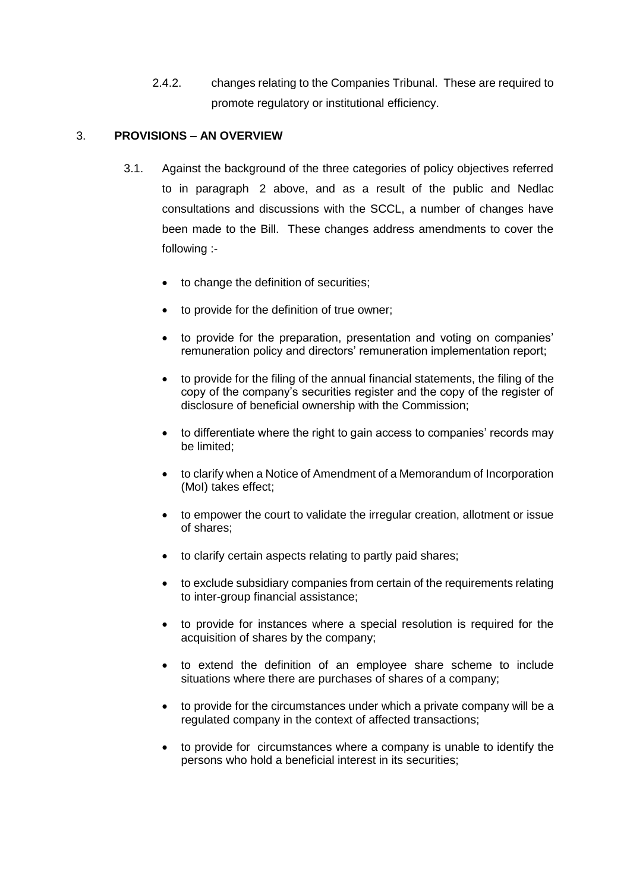2.4.2. changes relating to the Companies Tribunal. These are required to promote regulatory or institutional efficiency.

## 3. **PROVISIONS – AN OVERVIEW**

- 3.1. Against the background of the three categories of policy objectives referred to in paragraph [2](#page-4-1) above, and as a result of the public and Nedlac consultations and discussions with the SCCL, a number of changes have been made to the Bill. These changes address amendments to cover the following :-
	- to change the definition of securities;
	- to provide for the definition of true owner;
	- to provide for the preparation, presentation and voting on companies' remuneration policy and directors' remuneration implementation report;
	- to provide for the filing of the annual financial statements, the filing of the copy of the company's securities register and the copy of the register of disclosure of beneficial ownership with the Commission;
	- to differentiate where the right to gain access to companies' records may be limited;
	- to clarify when a Notice of Amendment of a Memorandum of Incorporation (MoI) takes effect;
	- to empower the court to validate the irregular creation, allotment or issue of shares;
	- to clarify certain aspects relating to partly paid shares;
	- to exclude subsidiary companies from certain of the requirements relating to inter-group financial assistance;
	- to provide for instances where a special resolution is required for the acquisition of shares by the company;
	- to extend the definition of an employee share scheme to include situations where there are purchases of shares of a company;
	- to provide for the circumstances under which a private company will be a regulated company in the context of affected transactions;
	- to provide for circumstances where a company is unable to identify the persons who hold a beneficial interest in its securities;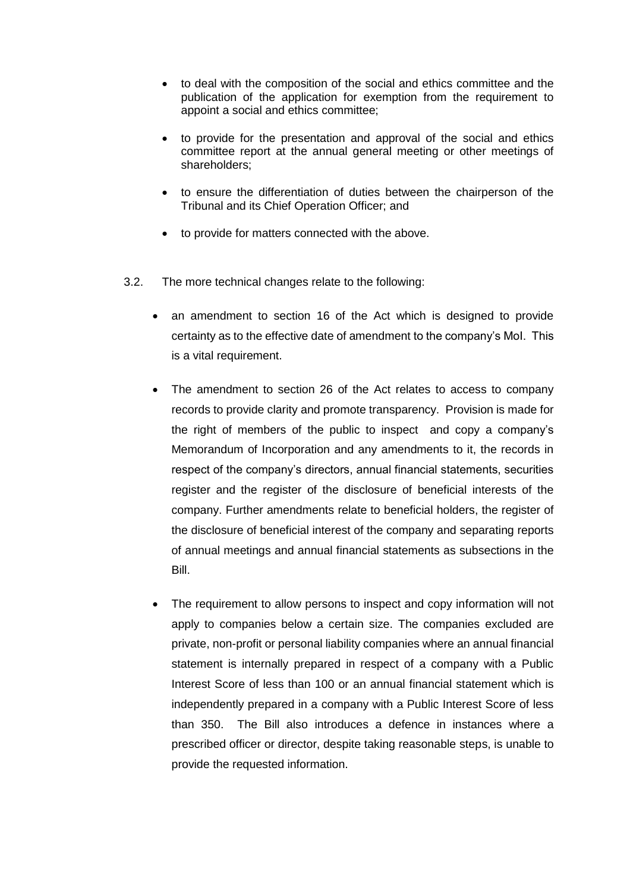- to deal with the composition of the social and ethics committee and the publication of the application for exemption from the requirement to appoint a social and ethics committee;
- to provide for the presentation and approval of the social and ethics committee report at the annual general meeting or other meetings of shareholders;
- to ensure the differentiation of duties between the chairperson of the Tribunal and its Chief Operation Officer; and
- to provide for matters connected with the above.
- 3.2. The more technical changes relate to the following:
	- an amendment to section 16 of the Act which is designed to provide certainty as to the effective date of amendment to the company's MoI. This is a vital requirement.
	- The amendment to section 26 of the Act relates to access to company records to provide clarity and promote transparency. Provision is made for the right of members of the public to inspect and copy a company's Memorandum of Incorporation and any amendments to it, the records in respect of the company's directors, annual financial statements, securities register and the register of the disclosure of beneficial interests of the company. Further amendments relate to beneficial holders, the register of the disclosure of beneficial interest of the company and separating reports of annual meetings and annual financial statements as subsections in the Bill.
	- The requirement to allow persons to inspect and copy information will not apply to companies below a certain size. The companies excluded are private, non-profit or personal liability companies where an annual financial statement is internally prepared in respect of a company with a Public Interest Score of less than 100 or an annual financial statement which is independently prepared in a company with a Public Interest Score of less than 350. The Bill also introduces a defence in instances where a prescribed officer or director, despite taking reasonable steps, is unable to provide the requested information.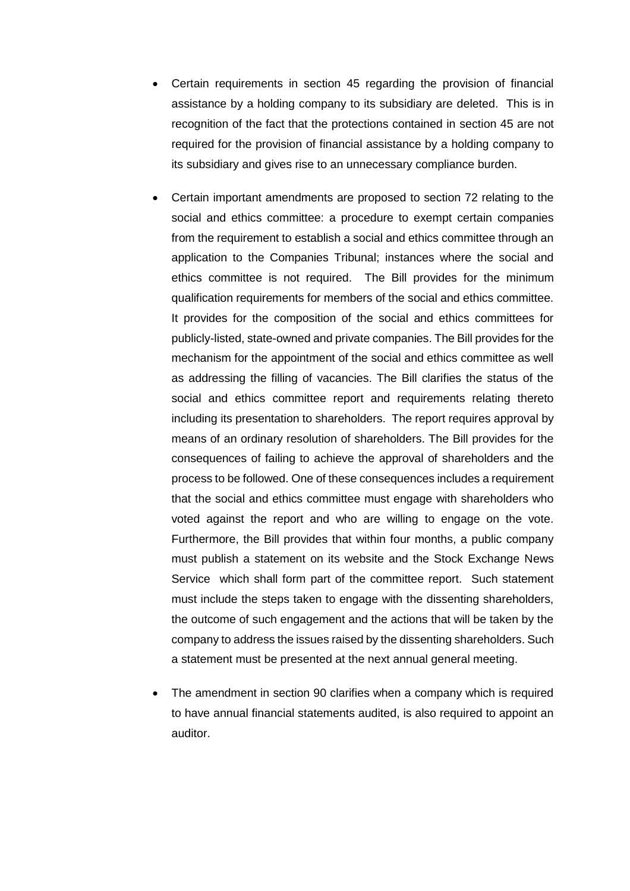- Certain requirements in section 45 regarding the provision of financial assistance by a holding company to its subsidiary are deleted. This is in recognition of the fact that the protections contained in section 45 are not required for the provision of financial assistance by a holding company to its subsidiary and gives rise to an unnecessary compliance burden.
- Certain important amendments are proposed to section 72 relating to the social and ethics committee: a procedure to exempt certain companies from the requirement to establish a social and ethics committee through an application to the Companies Tribunal; instances where the social and ethics committee is not required. The Bill provides for the minimum qualification requirements for members of the social and ethics committee. It provides for the composition of the social and ethics committees for publicly-listed, state-owned and private companies. The Bill provides for the mechanism for the appointment of the social and ethics committee as well as addressing the filling of vacancies. The Bill clarifies the status of the social and ethics committee report and requirements relating thereto including its presentation to shareholders. The report requires approval by means of an ordinary resolution of shareholders. The Bill provides for the consequences of failing to achieve the approval of shareholders and the process to be followed. One of these consequences includes a requirement that the social and ethics committee must engage with shareholders who voted against the report and who are willing to engage on the vote. Furthermore, the Bill provides that within four months, a public company must publish a statement on its website and the Stock Exchange News Service which shall form part of the committee report. Such statement must include the steps taken to engage with the dissenting shareholders, the outcome of such engagement and the actions that will be taken by the company to address the issues raised by the dissenting shareholders. Such a statement must be presented at the next annual general meeting.
- The amendment in section 90 clarifies when a company which is required to have annual financial statements audited, is also required to appoint an auditor.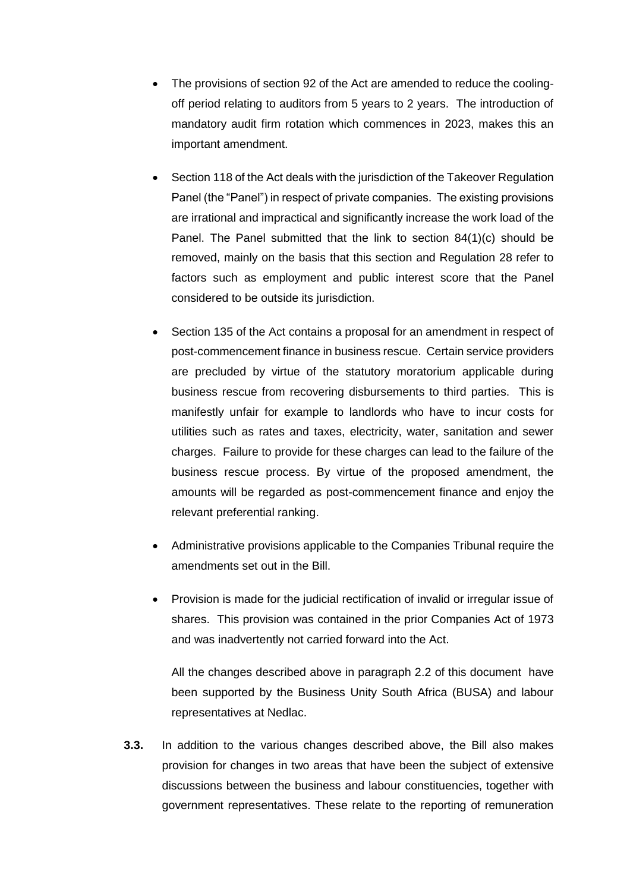- The provisions of section 92 of the Act are amended to reduce the coolingoff period relating to auditors from 5 years to 2 years. The introduction of mandatory audit firm rotation which commences in 2023, makes this an important amendment.
- Section 118 of the Act deals with the jurisdiction of the Takeover Regulation Panel (the "Panel") in respect of private companies. The existing provisions are irrational and impractical and significantly increase the work load of the Panel. The Panel submitted that the link to section 84(1)(c) should be removed, mainly on the basis that this section and Regulation 28 refer to factors such as employment and public interest score that the Panel considered to be outside its jurisdiction.
- Section 135 of the Act contains a proposal for an amendment in respect of post-commencement finance in business rescue. Certain service providers are precluded by virtue of the statutory moratorium applicable during business rescue from recovering disbursements to third parties. This is manifestly unfair for example to landlords who have to incur costs for utilities such as rates and taxes, electricity, water, sanitation and sewer charges. Failure to provide for these charges can lead to the failure of the business rescue process. By virtue of the proposed amendment, the amounts will be regarded as post-commencement finance and enjoy the relevant preferential ranking.
- Administrative provisions applicable to the Companies Tribunal require the amendments set out in the Bill.
- Provision is made for the judicial rectification of invalid or irregular issue of shares. This provision was contained in the prior Companies Act of 1973 and was inadvertently not carried forward into the Act.

All the changes described above in paragraph 2.2 of this document have been supported by the Business Unity South Africa (BUSA) and labour representatives at Nedlac.

**3.3.** In addition to the various changes described above, the Bill also makes provision for changes in two areas that have been the subject of extensive discussions between the business and labour constituencies, together with government representatives. These relate to the reporting of remuneration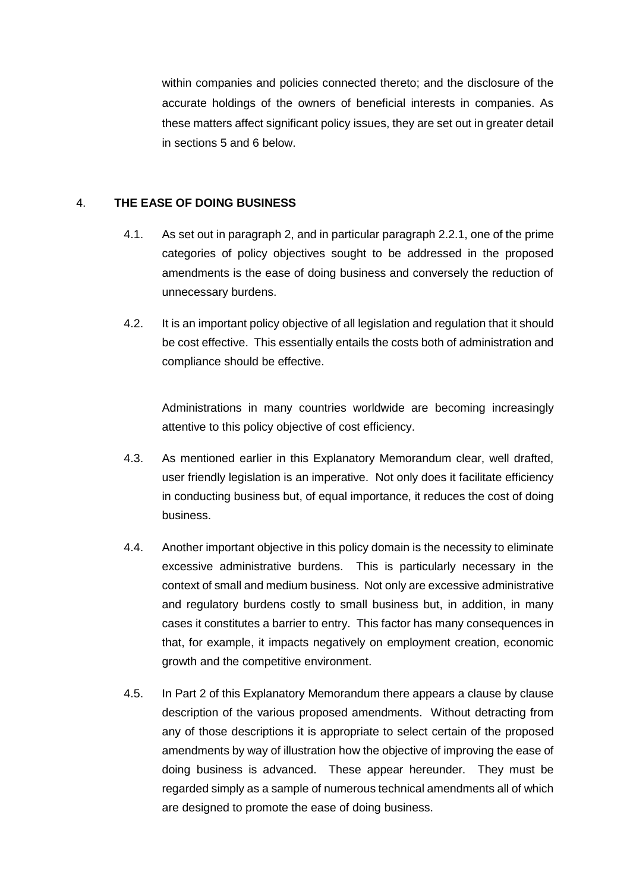within companies and policies connected thereto; and the disclosure of the accurate holdings of the owners of beneficial interests in companies. As these matters affect significant policy issues, they are set out in greater detail in sections 5 and 6 below.

## 4. **THE EASE OF DOING BUSINESS**

- 4.1. As set out in paragraph [2,](#page-4-1) and in particular paragraph [2.2.1,](#page-4-2) one of the prime categories of policy objectives sought to be addressed in the proposed amendments is the ease of doing business and conversely the reduction of unnecessary burdens.
- 4.2. It is an important policy objective of all legislation and regulation that it should be cost effective. This essentially entails the costs both of administration and compliance should be effective.

Administrations in many countries worldwide are becoming increasingly attentive to this policy objective of cost efficiency.

- 4.3. As mentioned earlier in this Explanatory Memorandum clear, well drafted, user friendly legislation is an imperative. Not only does it facilitate efficiency in conducting business but, of equal importance, it reduces the cost of doing business.
- 4.4. Another important objective in this policy domain is the necessity to eliminate excessive administrative burdens. This is particularly necessary in the context of small and medium business. Not only are excessive administrative and regulatory burdens costly to small business but, in addition, in many cases it constitutes a barrier to entry. This factor has many consequences in that, for example, it impacts negatively on employment creation, economic growth and the competitive environment.
- 4.5. In Part 2 of this Explanatory Memorandum there appears a clause by clause description of the various proposed amendments. Without detracting from any of those descriptions it is appropriate to select certain of the proposed amendments by way of illustration how the objective of improving the ease of doing business is advanced. These appear hereunder. They must be regarded simply as a sample of numerous technical amendments all of which are designed to promote the ease of doing business.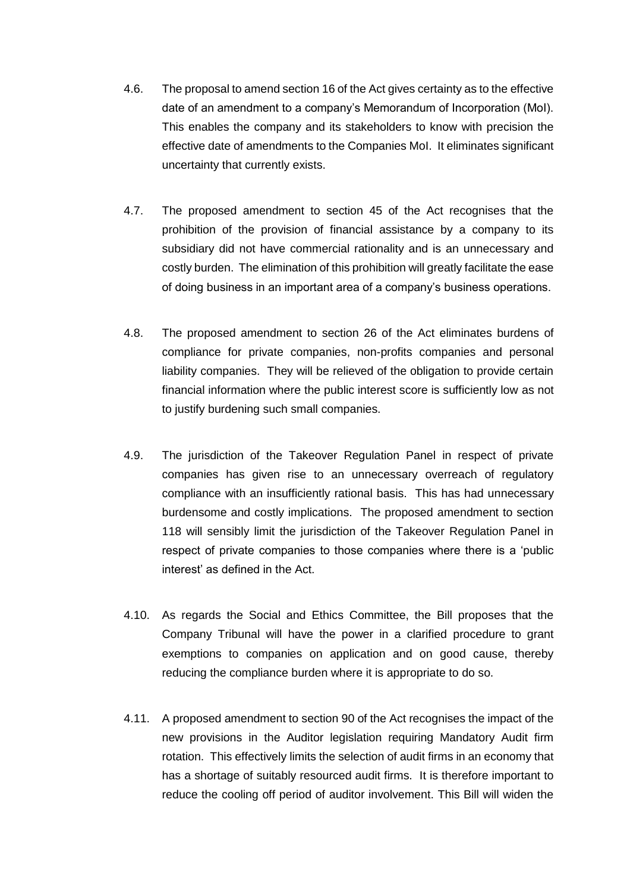- 4.6. The proposal to amend section 16 of the Act gives certainty as to the effective date of an amendment to a company's Memorandum of Incorporation (MoI). This enables the company and its stakeholders to know with precision the effective date of amendments to the Companies MoI. It eliminates significant uncertainty that currently exists.
- 4.7. The proposed amendment to section 45 of the Act recognises that the prohibition of the provision of financial assistance by a company to its subsidiary did not have commercial rationality and is an unnecessary and costly burden. The elimination of this prohibition will greatly facilitate the ease of doing business in an important area of a company's business operations.
- 4.8. The proposed amendment to section 26 of the Act eliminates burdens of compliance for private companies, non-profits companies and personal liability companies. They will be relieved of the obligation to provide certain financial information where the public interest score is sufficiently low as not to justify burdening such small companies.
- 4.9. The jurisdiction of the Takeover Regulation Panel in respect of private companies has given rise to an unnecessary overreach of regulatory compliance with an insufficiently rational basis. This has had unnecessary burdensome and costly implications. The proposed amendment to section 118 will sensibly limit the jurisdiction of the Takeover Regulation Panel in respect of private companies to those companies where there is a 'public interest' as defined in the Act.
- 4.10. As regards the Social and Ethics Committee, the Bill proposes that the Company Tribunal will have the power in a clarified procedure to grant exemptions to companies on application and on good cause, thereby reducing the compliance burden where it is appropriate to do so.
- 4.11. A proposed amendment to section 90 of the Act recognises the impact of the new provisions in the Auditor legislation requiring Mandatory Audit firm rotation. This effectively limits the selection of audit firms in an economy that has a shortage of suitably resourced audit firms. It is therefore important to reduce the cooling off period of auditor involvement. This Bill will widen the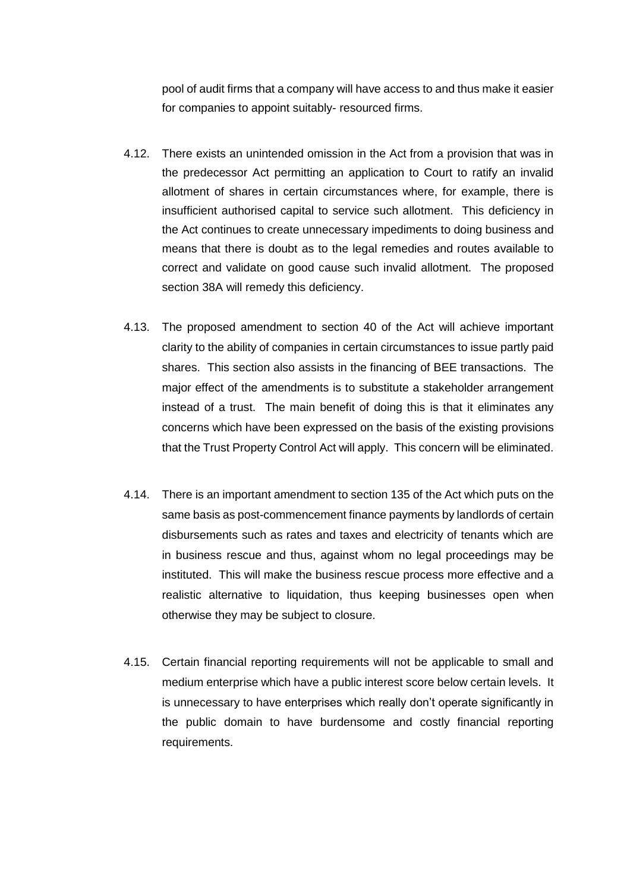pool of audit firms that a company will have access to and thus make it easier for companies to appoint suitably- resourced firms.

- 4.12. There exists an unintended omission in the Act from a provision that was in the predecessor Act permitting an application to Court to ratify an invalid allotment of shares in certain circumstances where, for example, there is insufficient authorised capital to service such allotment. This deficiency in the Act continues to create unnecessary impediments to doing business and means that there is doubt as to the legal remedies and routes available to correct and validate on good cause such invalid allotment. The proposed section 38A will remedy this deficiency.
- 4.13. The proposed amendment to section 40 of the Act will achieve important clarity to the ability of companies in certain circumstances to issue partly paid shares. This section also assists in the financing of BEE transactions. The major effect of the amendments is to substitute a stakeholder arrangement instead of a trust. The main benefit of doing this is that it eliminates any concerns which have been expressed on the basis of the existing provisions that the Trust Property Control Act will apply. This concern will be eliminated.
- 4.14. There is an important amendment to section 135 of the Act which puts on the same basis as post-commencement finance payments by landlords of certain disbursements such as rates and taxes and electricity of tenants which are in business rescue and thus, against whom no legal proceedings may be instituted. This will make the business rescue process more effective and a realistic alternative to liquidation, thus keeping businesses open when otherwise they may be subject to closure.
- 4.15. Certain financial reporting requirements will not be applicable to small and medium enterprise which have a public interest score below certain levels. It is unnecessary to have enterprises which really don't operate significantly in the public domain to have burdensome and costly financial reporting requirements.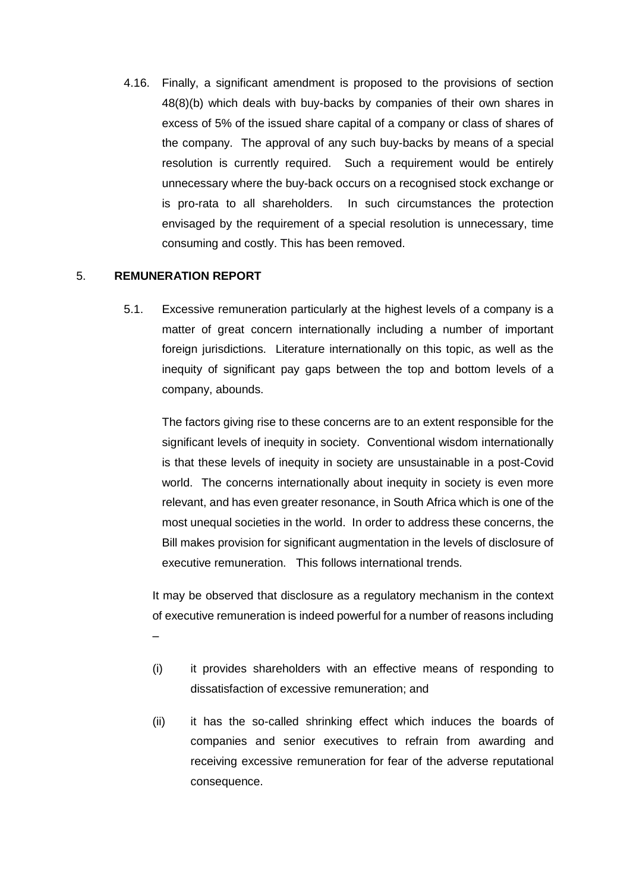4.16. Finally, a significant amendment is proposed to the provisions of section 48(8)(b) which deals with buy-backs by companies of their own shares in excess of 5% of the issued share capital of a company or class of shares of the company. The approval of any such buy-backs by means of a special resolution is currently required. Such a requirement would be entirely unnecessary where the buy-back occurs on a recognised stock exchange or is pro-rata to all shareholders. In such circumstances the protection envisaged by the requirement of a special resolution is unnecessary, time consuming and costly. This has been removed.

### 5. **REMUNERATION REPORT**

5.1. Excessive remuneration particularly at the highest levels of a company is a matter of great concern internationally including a number of important foreign jurisdictions. Literature internationally on this topic, as well as the inequity of significant pay gaps between the top and bottom levels of a company, abounds.

The factors giving rise to these concerns are to an extent responsible for the significant levels of inequity in society. Conventional wisdom internationally is that these levels of inequity in society are unsustainable in a post-Covid world. The concerns internationally about inequity in society is even more relevant, and has even greater resonance, in South Africa which is one of the most unequal societies in the world. In order to address these concerns, the Bill makes provision for significant augmentation in the levels of disclosure of executive remuneration. This follows international trends.

It may be observed that disclosure as a regulatory mechanism in the context of executive remuneration is indeed powerful for a number of reasons including –

- (i) it provides shareholders with an effective means of responding to dissatisfaction of excessive remuneration; and
- (ii) it has the so-called shrinking effect which induces the boards of companies and senior executives to refrain from awarding and receiving excessive remuneration for fear of the adverse reputational consequence.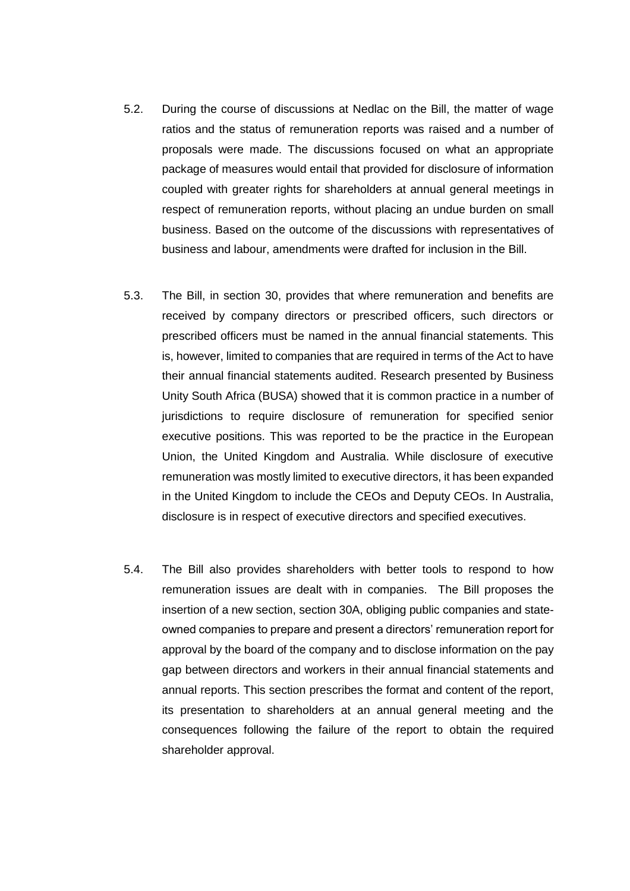- 5.2. During the course of discussions at Nedlac on the Bill, the matter of wage ratios and the status of remuneration reports was raised and a number of proposals were made. The discussions focused on what an appropriate package of measures would entail that provided for disclosure of information coupled with greater rights for shareholders at annual general meetings in respect of remuneration reports, without placing an undue burden on small business. Based on the outcome of the discussions with representatives of business and labour, amendments were drafted for inclusion in the Bill.
- 5.3. The Bill, in section 30, provides that where remuneration and benefits are received by company directors or prescribed officers, such directors or prescribed officers must be named in the annual financial statements. This is, however, limited to companies that are required in terms of the Act to have their annual financial statements audited. Research presented by Business Unity South Africa (BUSA) showed that it is common practice in a number of jurisdictions to require disclosure of remuneration for specified senior executive positions. This was reported to be the practice in the European Union, the United Kingdom and Australia. While disclosure of executive remuneration was mostly limited to executive directors, it has been expanded in the United Kingdom to include the CEOs and Deputy CEOs. In Australia, disclosure is in respect of executive directors and specified executives.
- 5.4. The Bill also provides shareholders with better tools to respond to how remuneration issues are dealt with in companies. The Bill proposes the insertion of a new section, section 30A, obliging public companies and stateowned companies to prepare and present a directors' remuneration report for approval by the board of the company and to disclose information on the pay gap between directors and workers in their annual financial statements and annual reports. This section prescribes the format and content of the report, its presentation to shareholders at an annual general meeting and the consequences following the failure of the report to obtain the required shareholder approval.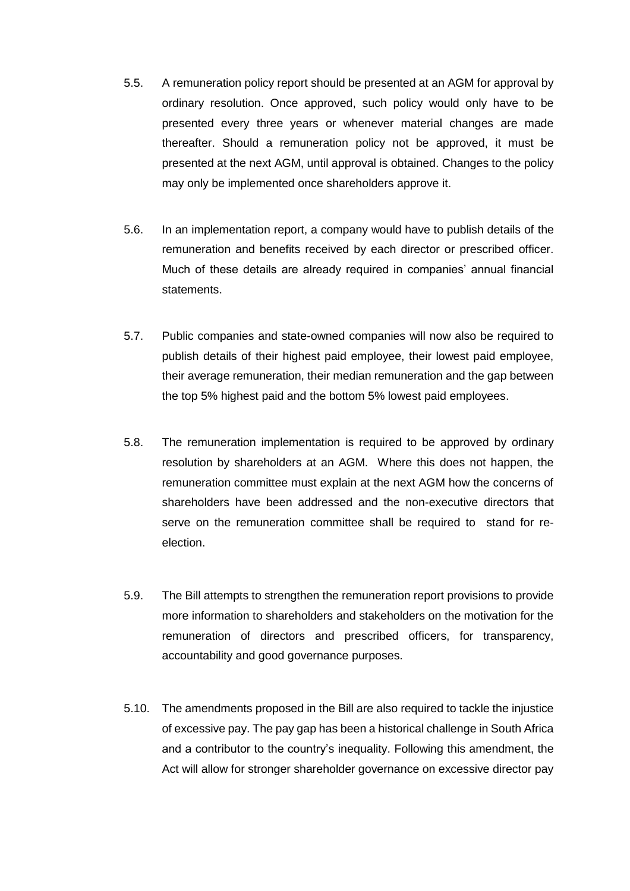- 5.5. A remuneration policy report should be presented at an AGM for approval by ordinary resolution. Once approved, such policy would only have to be presented every three years or whenever material changes are made thereafter. Should a remuneration policy not be approved, it must be presented at the next AGM, until approval is obtained. Changes to the policy may only be implemented once shareholders approve it.
- 5.6. In an implementation report, a company would have to publish details of the remuneration and benefits received by each director or prescribed officer. Much of these details are already required in companies' annual financial statements.
- 5.7. Public companies and state-owned companies will now also be required to publish details of their highest paid employee, their lowest paid employee, their average remuneration, their median remuneration and the gap between the top 5% highest paid and the bottom 5% lowest paid employees.
- 5.8. The remuneration implementation is required to be approved by ordinary resolution by shareholders at an AGM. Where this does not happen, the remuneration committee must explain at the next AGM how the concerns of shareholders have been addressed and the non-executive directors that serve on the remuneration committee shall be required to stand for reelection.
- 5.9. The Bill attempts to strengthen the remuneration report provisions to provide more information to shareholders and stakeholders on the motivation for the remuneration of directors and prescribed officers, for transparency, accountability and good governance purposes.
- 5.10. The amendments proposed in the Bill are also required to tackle the injustice of excessive pay. The pay gap has been a historical challenge in South Africa and a contributor to the country's inequality. Following this amendment, the Act will allow for stronger shareholder governance on excessive director pay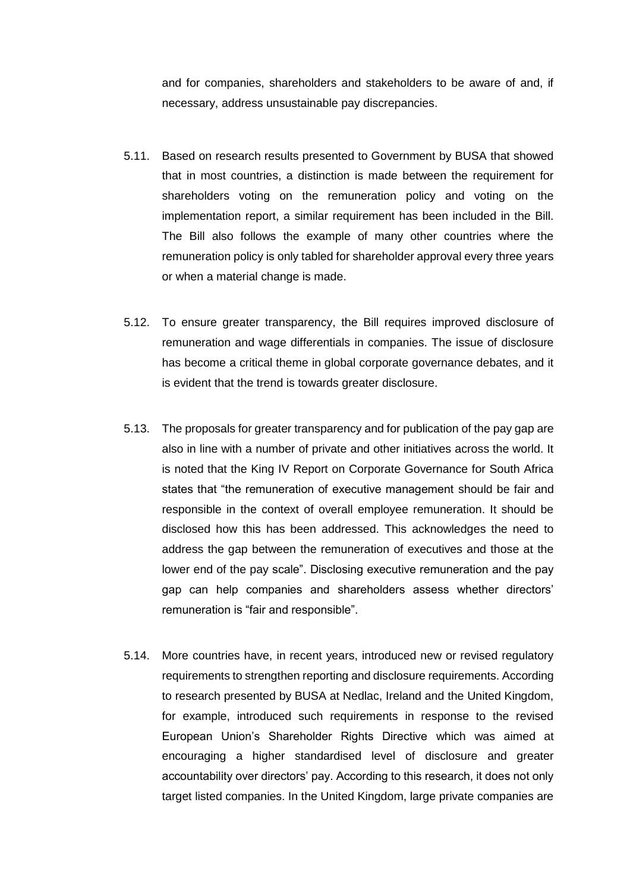and for companies, shareholders and stakeholders to be aware of and, if necessary, address unsustainable pay discrepancies.

- 5.11. Based on research results presented to Government by BUSA that showed that in most countries, a distinction is made between the requirement for shareholders voting on the remuneration policy and voting on the implementation report, a similar requirement has been included in the Bill. The Bill also follows the example of many other countries where the remuneration policy is only tabled for shareholder approval every three years or when a material change is made.
- 5.12. To ensure greater transparency, the Bill requires improved disclosure of remuneration and wage differentials in companies. The issue of disclosure has become a critical theme in global corporate governance debates, and it is evident that the trend is towards greater disclosure.
- 5.13. The proposals for greater transparency and for publication of the pay gap are also in line with a number of private and other initiatives across the world. It is noted that the King IV Report on Corporate Governance for South Africa states that "the remuneration of executive management should be fair and responsible in the context of overall employee remuneration. It should be disclosed how this has been addressed. This acknowledges the need to address the gap between the remuneration of executives and those at the lower end of the pay scale". Disclosing executive remuneration and the pay gap can help companies and shareholders assess whether directors' remuneration is "fair and responsible".
- 5.14. More countries have, in recent years, introduced new or revised regulatory requirements to strengthen reporting and disclosure requirements. According to research presented by BUSA at Nedlac, Ireland and the United Kingdom, for example, introduced such requirements in response to the revised European Union's Shareholder Rights Directive which was aimed at encouraging a higher standardised level of disclosure and greater accountability over directors' pay. According to this research, it does not only target listed companies. In the United Kingdom, large private companies are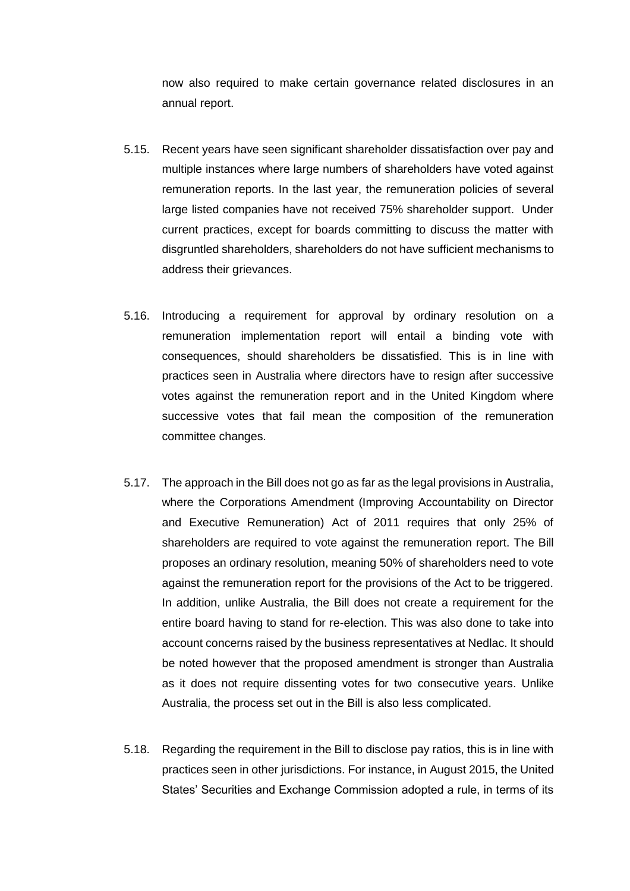now also required to make certain governance related disclosures in an annual report.

- 5.15. Recent years have seen significant shareholder dissatisfaction over pay and multiple instances where large numbers of shareholders have voted against remuneration reports. In the last year, the remuneration policies of several large listed companies have not received 75% shareholder support. Under current practices, except for boards committing to discuss the matter with disgruntled shareholders, shareholders do not have sufficient mechanisms to address their grievances.
- 5.16. Introducing a requirement for approval by ordinary resolution on a remuneration implementation report will entail a binding vote with consequences, should shareholders be dissatisfied. This is in line with practices seen in Australia where directors have to resign after successive votes against the remuneration report and in the United Kingdom where successive votes that fail mean the composition of the remuneration committee changes.
- 5.17. The approach in the Bill does not go as far as the legal provisions in Australia, where the Corporations Amendment (Improving Accountability on Director and Executive Remuneration) Act of 2011 requires that only 25% of shareholders are required to vote against the remuneration report. The Bill proposes an ordinary resolution, meaning 50% of shareholders need to vote against the remuneration report for the provisions of the Act to be triggered. In addition, unlike Australia, the Bill does not create a requirement for the entire board having to stand for re-election. This was also done to take into account concerns raised by the business representatives at Nedlac. It should be noted however that the proposed amendment is stronger than Australia as it does not require dissenting votes for two consecutive years. Unlike Australia, the process set out in the Bill is also less complicated.
- 5.18. Regarding the requirement in the Bill to disclose pay ratios, this is in line with practices seen in other jurisdictions. For instance, in August 2015, the United States' Securities and Exchange Commission adopted a rule, in terms of its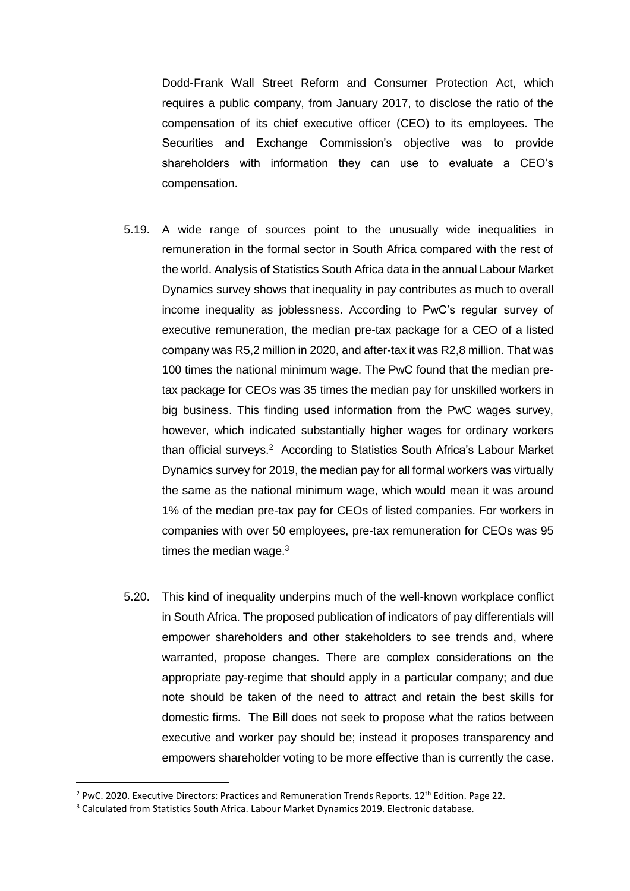Dodd-Frank Wall Street Reform and Consumer Protection Act, which requires a public company, from January 2017, to disclose the ratio of the compensation of its chief executive officer (CEO) to its employees. The Securities and Exchange Commission's objective was to provide shareholders with information they can use to evaluate a CEO's compensation.

- 5.19. A wide range of sources point to the unusually wide inequalities in remuneration in the formal sector in South Africa compared with the rest of the world. Analysis of Statistics South Africa data in the annual Labour Market Dynamics survey shows that inequality in pay contributes as much to overall income inequality as joblessness. According to PwC's regular survey of executive remuneration, the median pre-tax package for a CEO of a listed company was R5,2 million in 2020, and after-tax it was R2,8 million. That was 100 times the national minimum wage. The PwC found that the median pretax package for CEOs was 35 times the median pay for unskilled workers in big business. This finding used information from the PwC wages survey, however, which indicated substantially higher wages for ordinary workers than official surveys.<sup>2</sup> According to Statistics South Africa's Labour Market Dynamics survey for 2019, the median pay for all formal workers was virtually the same as the national minimum wage, which would mean it was around 1% of the median pre-tax pay for CEOs of listed companies. For workers in companies with over 50 employees, pre-tax remuneration for CEOs was 95 times the median wage. $3$
- 5.20. This kind of inequality underpins much of the well-known workplace conflict in South Africa. The proposed publication of indicators of pay differentials will empower shareholders and other stakeholders to see trends and, where warranted, propose changes. There are complex considerations on the appropriate pay-regime that should apply in a particular company; and due note should be taken of the need to attract and retain the best skills for domestic firms. The Bill does not seek to propose what the ratios between executive and worker pay should be; instead it proposes transparency and empowers shareholder voting to be more effective than is currently the case.

 $\overline{a}$ 

 $2$  PwC. 2020. Executive Directors: Practices and Remuneration Trends Reports. 12<sup>th</sup> Edition. Page 22.

<sup>&</sup>lt;sup>3</sup> Calculated from Statistics South Africa. Labour Market Dynamics 2019. Electronic database.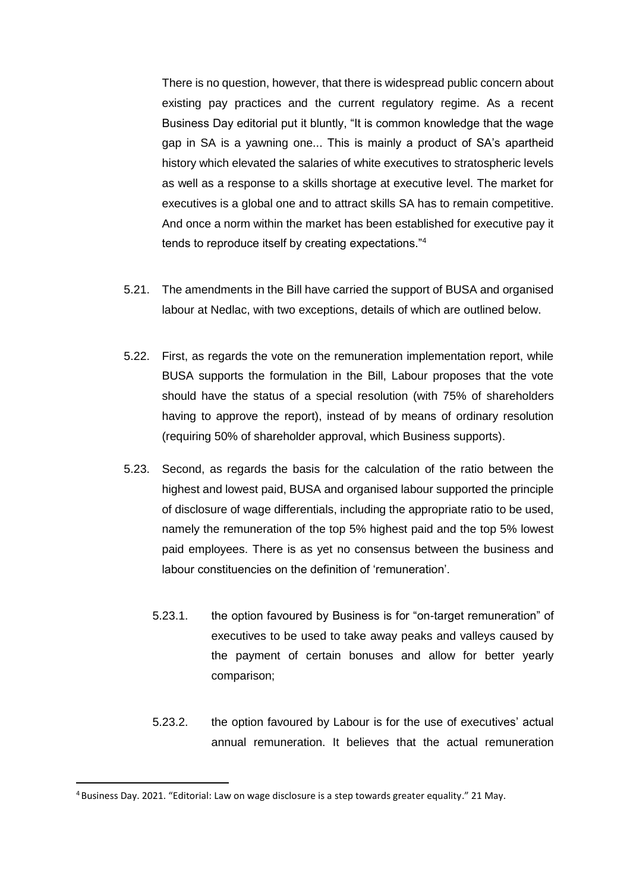There is no question, however, that there is widespread public concern about existing pay practices and the current regulatory regime. As a recent Business Day editorial put it bluntly, "It is common knowledge that the wage gap in SA is a yawning one... This is mainly a product of SA's apartheid history which elevated the salaries of white executives to stratospheric levels as well as a response to a skills shortage at executive level. The market for executives is a global one and to attract skills SA has to remain competitive. And once a norm within the market has been established for executive pay it tends to reproduce itself by creating expectations."<sup>4</sup>

- 5.21. The amendments in the Bill have carried the support of BUSA and organised labour at Nedlac, with two exceptions, details of which are outlined below.
- 5.22. First, as regards the vote on the remuneration implementation report, while BUSA supports the formulation in the Bill, Labour proposes that the vote should have the status of a special resolution (with 75% of shareholders having to approve the report), instead of by means of ordinary resolution (requiring 50% of shareholder approval, which Business supports).
- 5.23. Second, as regards the basis for the calculation of the ratio between the highest and lowest paid, BUSA and organised labour supported the principle of disclosure of wage differentials, including the appropriate ratio to be used, namely the remuneration of the top 5% highest paid and the top 5% lowest paid employees. There is as yet no consensus between the business and labour constituencies on the definition of 'remuneration'.
	- 5.23.1. the option favoured by Business is for "on-target remuneration" of executives to be used to take away peaks and valleys caused by the payment of certain bonuses and allow for better yearly comparison;
	- 5.23.2. the option favoured by Labour is for the use of executives' actual annual remuneration. It believes that the actual remuneration

 $\overline{a}$ 

<sup>4</sup> Business Day. 2021. "Editorial: Law on wage disclosure is a step towards greater equality." 21 May.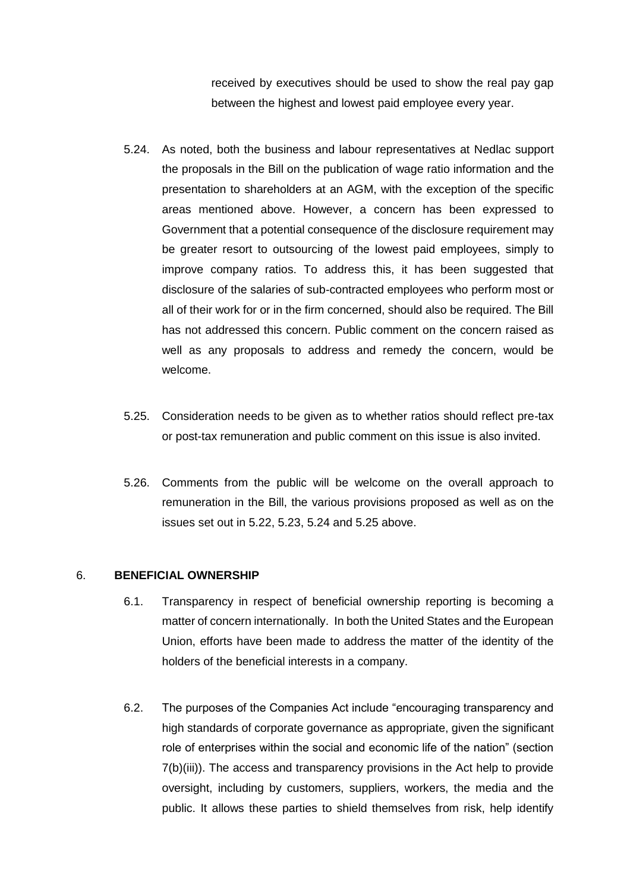received by executives should be used to show the real pay gap between the highest and lowest paid employee every year.

- 5.24. As noted, both the business and labour representatives at Nedlac support the proposals in the Bill on the publication of wage ratio information and the presentation to shareholders at an AGM, with the exception of the specific areas mentioned above. However, a concern has been expressed to Government that a potential consequence of the disclosure requirement may be greater resort to outsourcing of the lowest paid employees, simply to improve company ratios. To address this, it has been suggested that disclosure of the salaries of sub-contracted employees who perform most or all of their work for or in the firm concerned, should also be required. The Bill has not addressed this concern. Public comment on the concern raised as well as any proposals to address and remedy the concern, would be welcome.
- 5.25. Consideration needs to be given as to whether ratios should reflect pre-tax or post-tax remuneration and public comment on this issue is also invited.
- 5.26. Comments from the public will be welcome on the overall approach to remuneration in the Bill, the various provisions proposed as well as on the issues set out in 5.22, 5.23, 5.24 and 5.25 above.

#### 6. **BENEFICIAL OWNERSHIP**

- 6.1. Transparency in respect of beneficial ownership reporting is becoming a matter of concern internationally. In both the United States and the European Union, efforts have been made to address the matter of the identity of the holders of the beneficial interests in a company.
- 6.2. The purposes of the Companies Act include "encouraging transparency and high standards of corporate governance as appropriate, given the significant role of enterprises within the social and economic life of the nation" (section 7(b)(iii)). The access and transparency provisions in the Act help to provide oversight, including by customers, suppliers, workers, the media and the public. It allows these parties to shield themselves from risk, help identify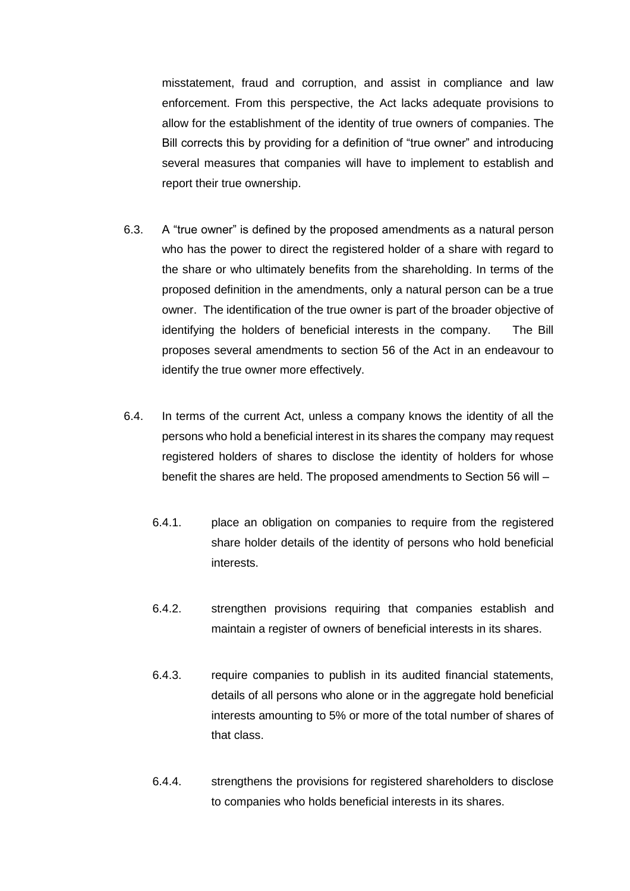misstatement, fraud and corruption, and assist in compliance and law enforcement. From this perspective, the Act lacks adequate provisions to allow for the establishment of the identity of true owners of companies. The Bill corrects this by providing for a definition of "true owner" and introducing several measures that companies will have to implement to establish and report their true ownership.

- 6.3. A "true owner" is defined by the proposed amendments as a natural person who has the power to direct the registered holder of a share with regard to the share or who ultimately benefits from the shareholding. In terms of the proposed definition in the amendments, only a natural person can be a true owner. The identification of the true owner is part of the broader objective of identifying the holders of beneficial interests in the company. The Bill proposes several amendments to section 56 of the Act in an endeavour to identify the true owner more effectively.
- 6.4. In terms of the current Act, unless a company knows the identity of all the persons who hold a beneficial interest in its shares the company may request registered holders of shares to disclose the identity of holders for whose benefit the shares are held. The proposed amendments to Section 56 will –
	- 6.4.1. place an obligation on companies to require from the registered share holder details of the identity of persons who hold beneficial interests.
	- 6.4.2. strengthen provisions requiring that companies establish and maintain a register of owners of beneficial interests in its shares.
	- 6.4.3. require companies to publish in its audited financial statements, details of all persons who alone or in the aggregate hold beneficial interests amounting to 5% or more of the total number of shares of that class.
	- 6.4.4. strengthens the provisions for registered shareholders to disclose to companies who holds beneficial interests in its shares.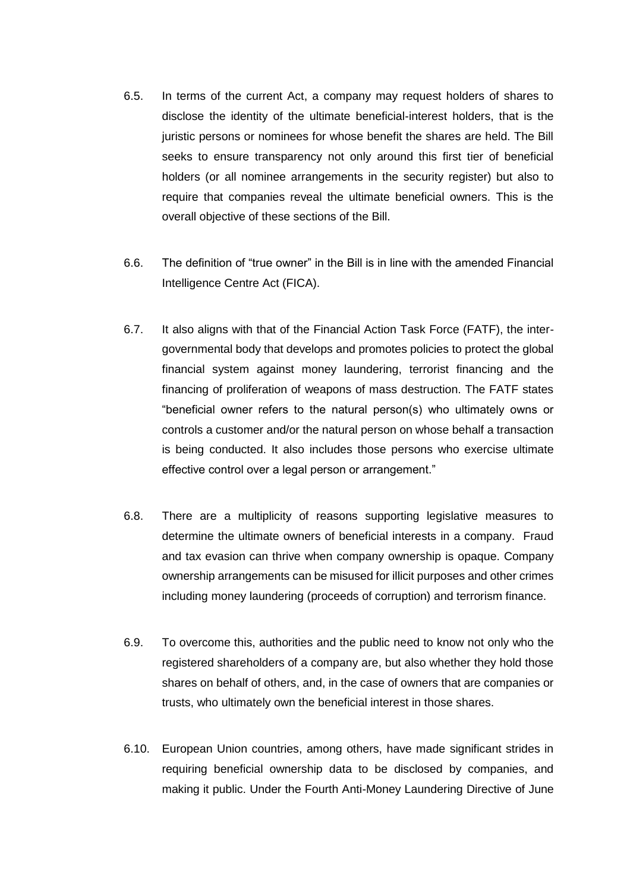- 6.5. In terms of the current Act, a company may request holders of shares to disclose the identity of the ultimate beneficial-interest holders, that is the juristic persons or nominees for whose benefit the shares are held. The Bill seeks to ensure transparency not only around this first tier of beneficial holders (or all nominee arrangements in the security register) but also to require that companies reveal the ultimate beneficial owners. This is the overall objective of these sections of the Bill.
- 6.6. The definition of "true owner" in the Bill is in line with the amended Financial Intelligence Centre Act (FICA).
- 6.7. It also aligns with that of the Financial Action Task Force (FATF), the intergovernmental body that develops and promotes policies to protect the global financial system against money laundering, terrorist financing and the financing of proliferation of weapons of mass destruction. The FATF states "beneficial owner refers to the natural person(s) who ultimately owns or controls a customer and/or the natural person on whose behalf a transaction is being conducted. It also includes those persons who exercise ultimate effective control over a legal person or arrangement."
- 6.8. There are a multiplicity of reasons supporting legislative measures to determine the ultimate owners of beneficial interests in a company. Fraud and tax evasion can thrive when company ownership is opaque. Company ownership arrangements can be misused for illicit purposes and other crimes including money laundering (proceeds of corruption) and terrorism finance.
- 6.9. To overcome this, authorities and the public need to know not only who the registered shareholders of a company are, but also whether they hold those shares on behalf of others, and, in the case of owners that are companies or trusts, who ultimately own the beneficial interest in those shares.
- 6.10. European Union countries, among others, have made significant strides in requiring beneficial ownership data to be disclosed by companies, and making it public. Under the Fourth Anti-Money Laundering Directive of June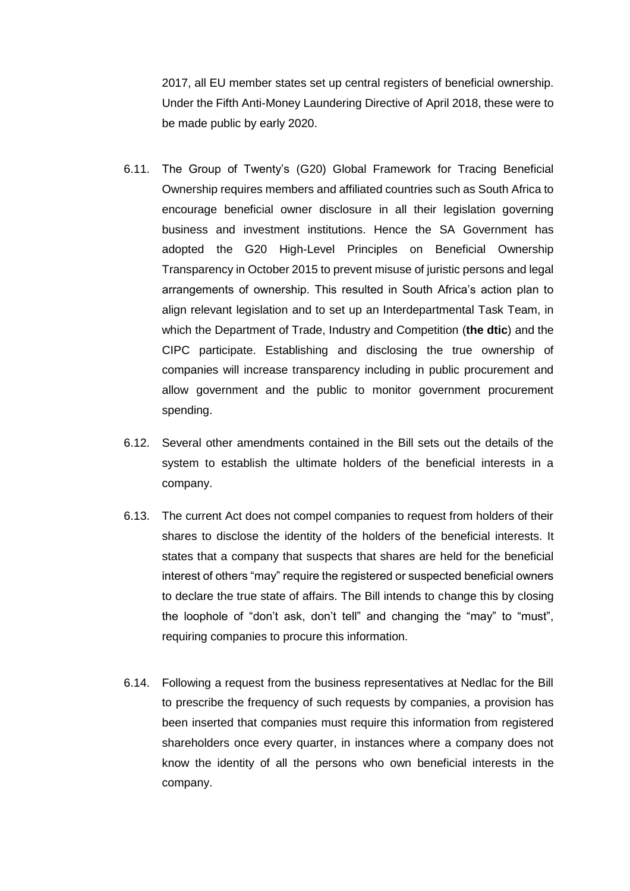2017, all EU member states set up central registers of beneficial ownership. Under the Fifth Anti-Money Laundering Directive of April 2018, these were to be made public by early 2020.

- 6.11. The Group of Twenty's (G20) Global Framework for Tracing Beneficial Ownership requires members and affiliated countries such as South Africa to encourage beneficial owner disclosure in all their legislation governing business and investment institutions. Hence the SA Government has adopted the G20 High-Level Principles on Beneficial Ownership Transparency in October 2015 to prevent misuse of juristic persons and legal arrangements of ownership. This resulted in South Africa's action plan to align relevant legislation and to set up an Interdepartmental Task Team, in which the Department of Trade, Industry and Competition (**the dtic**) and the CIPC participate. Establishing and disclosing the true ownership of companies will increase transparency including in public procurement and allow government and the public to monitor government procurement spending.
- 6.12. Several other amendments contained in the Bill sets out the details of the system to establish the ultimate holders of the beneficial interests in a company.
- 6.13. The current Act does not compel companies to request from holders of their shares to disclose the identity of the holders of the beneficial interests. It states that a company that suspects that shares are held for the beneficial interest of others "may" require the registered or suspected beneficial owners to declare the true state of affairs. The Bill intends to change this by closing the loophole of "don't ask, don't tell" and changing the "may" to "must", requiring companies to procure this information.
- 6.14. Following a request from the business representatives at Nedlac for the Bill to prescribe the frequency of such requests by companies, a provision has been inserted that companies must require this information from registered shareholders once every quarter, in instances where a company does not know the identity of all the persons who own beneficial interests in the company.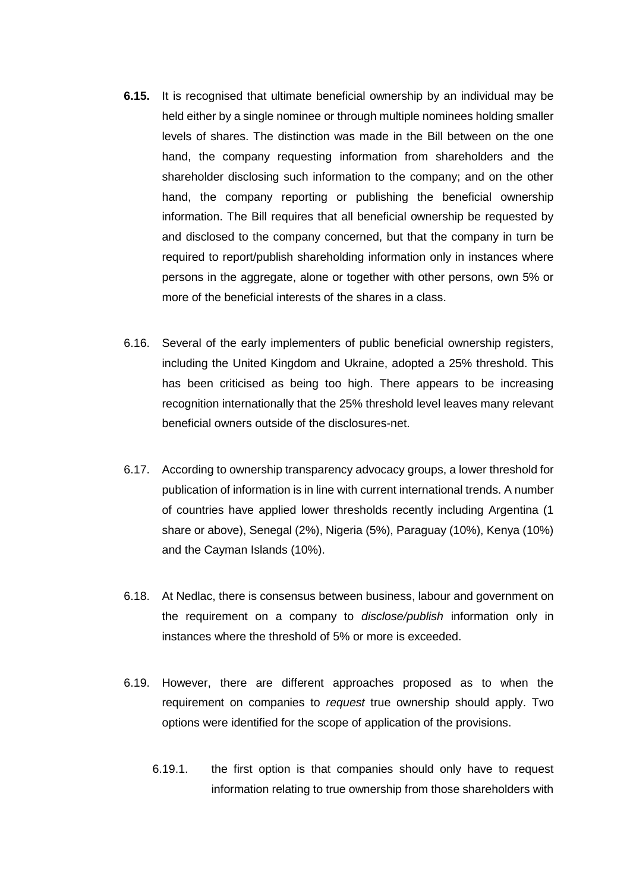- **6.15.** It is recognised that ultimate beneficial ownership by an individual may be held either by a single nominee or through multiple nominees holding smaller levels of shares. The distinction was made in the Bill between on the one hand, the company requesting information from shareholders and the shareholder disclosing such information to the company; and on the other hand, the company reporting or publishing the beneficial ownership information. The Bill requires that all beneficial ownership be requested by and disclosed to the company concerned, but that the company in turn be required to report/publish shareholding information only in instances where persons in the aggregate, alone or together with other persons, own 5% or more of the beneficial interests of the shares in a class.
- 6.16. Several of the early implementers of public beneficial ownership registers, including the United Kingdom and Ukraine, adopted a 25% threshold. This has been criticised as being too high. There appears to be increasing recognition internationally that the 25% threshold level leaves many relevant beneficial owners outside of the disclosures-net.
- 6.17. According to ownership transparency advocacy groups, a lower threshold for publication of information is in line with current international trends. A number of countries have applied lower thresholds recently including Argentina (1 share or above), Senegal (2%), Nigeria (5%), Paraguay (10%), Kenya (10%) and the Cayman Islands (10%).
- 6.18. At Nedlac, there is consensus between business, labour and government on the requirement on a company to *disclose/publish* information only in instances where the threshold of 5% or more is exceeded.
- 6.19. However, there are different approaches proposed as to when the requirement on companies to *request* true ownership should apply. Two options were identified for the scope of application of the provisions.
	- 6.19.1. the first option is that companies should only have to request information relating to true ownership from those shareholders with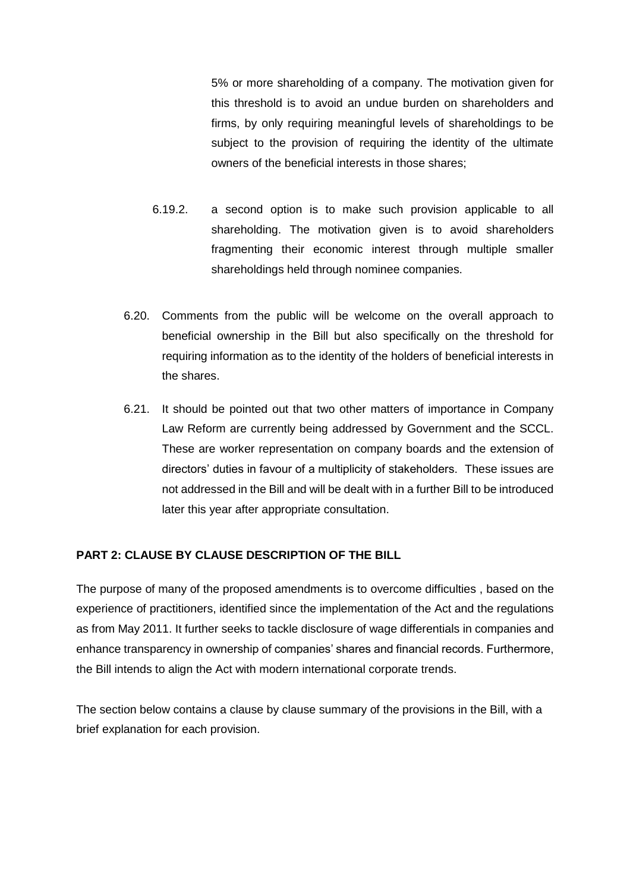5% or more shareholding of a company. The motivation given for this threshold is to avoid an undue burden on shareholders and firms, by only requiring meaningful levels of shareholdings to be subject to the provision of requiring the identity of the ultimate owners of the beneficial interests in those shares;

- 6.19.2. a second option is to make such provision applicable to all shareholding. The motivation given is to avoid shareholders fragmenting their economic interest through multiple smaller shareholdings held through nominee companies.
- 6.20. Comments from the public will be welcome on the overall approach to beneficial ownership in the Bill but also specifically on the threshold for requiring information as to the identity of the holders of beneficial interests in the shares.
- 6.21. It should be pointed out that two other matters of importance in Company Law Reform are currently being addressed by Government and the SCCL. These are worker representation on company boards and the extension of directors' duties in favour of a multiplicity of stakeholders. These issues are not addressed in the Bill and will be dealt with in a further Bill to be introduced later this year after appropriate consultation.

# **PART 2: CLAUSE BY CLAUSE DESCRIPTION OF THE BILL**

The purpose of many of the proposed amendments is to overcome difficulties , based on the experience of practitioners, identified since the implementation of the Act and the regulations as from May 2011. It further seeks to tackle disclosure of wage differentials in companies and enhance transparency in ownership of companies' shares and financial records. Furthermore, the Bill intends to align the Act with modern international corporate trends.

The section below contains a clause by clause summary of the provisions in the Bill, with a brief explanation for each provision.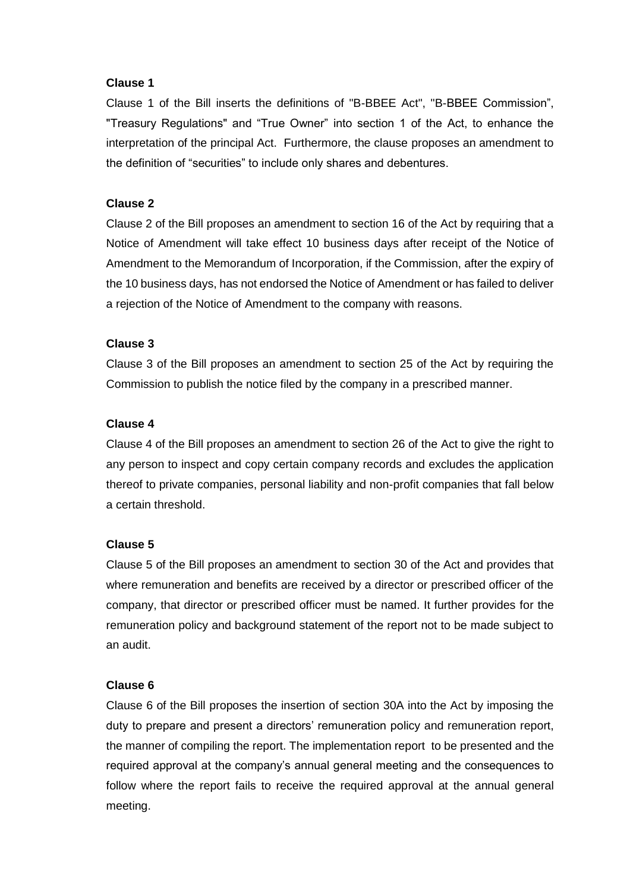## **Clause 1**

Clause 1 of the Bill inserts the definitions of "B-BBEE Act", "B-BBEE Commission", "Treasury Regulations" and "True Owner" into section 1 of the Act, to enhance the interpretation of the principal Act. Furthermore, the clause proposes an amendment to the definition of "securities" to include only shares and debentures.

# **Clause 2**

Clause 2 of the Bill proposes an amendment to section 16 of the Act by requiring that a Notice of Amendment will take effect 10 business days after receipt of the Notice of Amendment to the Memorandum of Incorporation, if the Commission, after the expiry of the 10 business days, has not endorsed the Notice of Amendment or has failed to deliver a rejection of the Notice of Amendment to the company with reasons.

# **Clause 3**

Clause 3 of the Bill proposes an amendment to section 25 of the Act by requiring the Commission to publish the notice filed by the company in a prescribed manner.

# **Clause 4**

Clause 4 of the Bill proposes an amendment to section 26 of the Act to give the right to any person to inspect and copy certain company records and excludes the application thereof to private companies, personal liability and non-profit companies that fall below a certain threshold.

# **Clause 5**

Clause 5 of the Bill proposes an amendment to section 30 of the Act and provides that where remuneration and benefits are received by a director or prescribed officer of the company, that director or prescribed officer must be named. It further provides for the remuneration policy and background statement of the report not to be made subject to an audit.

# **Clause 6**

Clause 6 of the Bill proposes the insertion of section 30A into the Act by imposing the duty to prepare and present a directors' remuneration policy and remuneration report, the manner of compiling the report. The implementation report to be presented and the required approval at the company's annual general meeting and the consequences to follow where the report fails to receive the required approval at the annual general meeting.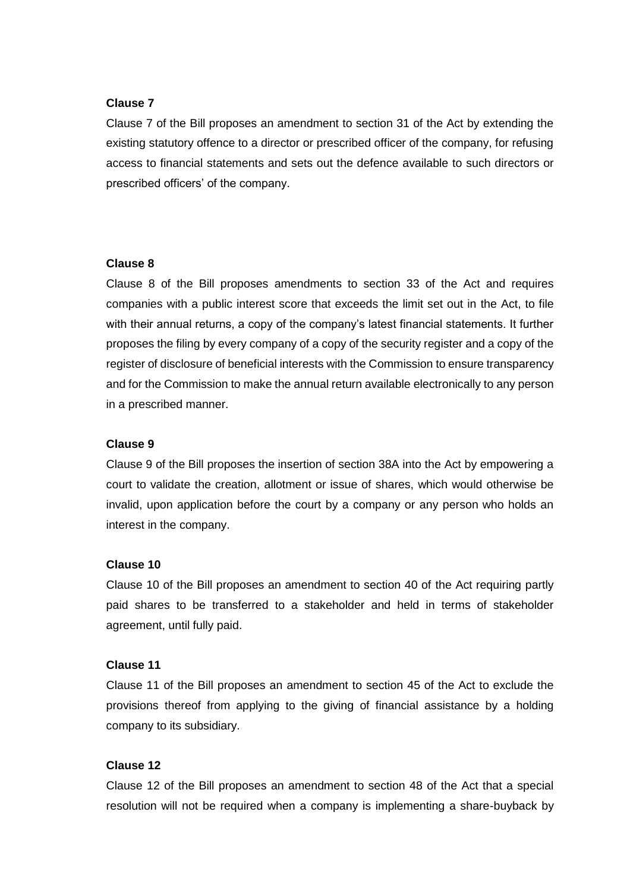#### **Clause 7**

Clause 7 of the Bill proposes an amendment to section 31 of the Act by extending the existing statutory offence to a director or prescribed officer of the company, for refusing access to financial statements and sets out the defence available to such directors or prescribed officers' of the company.

#### **Clause 8**

Clause 8 of the Bill proposes amendments to section 33 of the Act and requires companies with a public interest score that exceeds the limit set out in the Act, to file with their annual returns, a copy of the company's latest financial statements. It further proposes the filing by every company of a copy of the security register and a copy of the register of disclosure of beneficial interests with the Commission to ensure transparency and for the Commission to make the annual return available electronically to any person in a prescribed manner.

#### **Clause 9**

Clause 9 of the Bill proposes the insertion of section 38A into the Act by empowering a court to validate the creation, allotment or issue of shares, which would otherwise be invalid, upon application before the court by a company or any person who holds an interest in the company.

#### **Clause 10**

Clause 10 of the Bill proposes an amendment to section 40 of the Act requiring partly paid shares to be transferred to a stakeholder and held in terms of stakeholder agreement, until fully paid.

#### **Clause 11**

Clause 11 of the Bill proposes an amendment to section 45 of the Act to exclude the provisions thereof from applying to the giving of financial assistance by a holding company to its subsidiary.

## **Clause 12**

Clause 12 of the Bill proposes an amendment to section 48 of the Act that a special resolution will not be required when a company is implementing a share-buyback by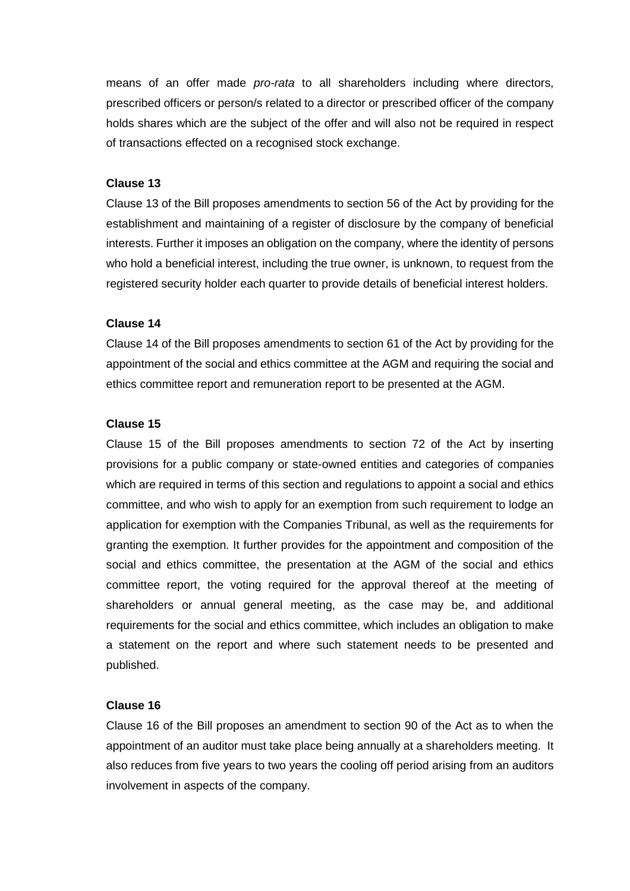means of an offer made *pro-rata* to all shareholders including where directors, prescribed officers or person/s related to a director or prescribed officer of the company holds shares which are the subject of the offer and will also not be required in respect of transactions effected on a recognised stock exchange.

### **Clause 13**

Clause 13 of the Bill proposes amendments to section 56 of the Act by providing for the establishment and maintaining of a register of disclosure by the company of beneficial interests. Further it imposes an obligation on the company, where the identity of persons who hold a beneficial interest, including the true owner, is unknown, to request from the registered security holder each quarter to provide details of beneficial interest holders.

#### **Clause 14**

Clause 14 of the Bill proposes amendments to section 61 of the Act by providing for the appointment of the social and ethics committee at the AGM and requiring the social and ethics committee report and remuneration report to be presented at the AGM.

#### **Clause 15**

Clause 15 of the Bill proposes amendments to section 72 of the Act by inserting provisions for a public company or state-owned entities and categories of companies which are required in terms of this section and regulations to appoint a social and ethics committee, and who wish to apply for an exemption from such requirement to lodge an application for exemption with the Companies Tribunal, as well as the requirements for granting the exemption. It further provides for the appointment and composition of the social and ethics committee, the presentation at the AGM of the social and ethics committee report, the voting required for the approval thereof at the meeting of shareholders or annual general meeting, as the case may be, and additional requirements for the social and ethics committee, which includes an obligation to make a statement on the report and where such statement needs to be presented and published.

#### **Clause 16**

Clause 16 of the Bill proposes an amendment to section 90 of the Act as to when the appointment of an auditor must take place being annually at a shareholders meeting. It also reduces from five years to two years the cooling off period arising from an auditors involvement in aspects of the company.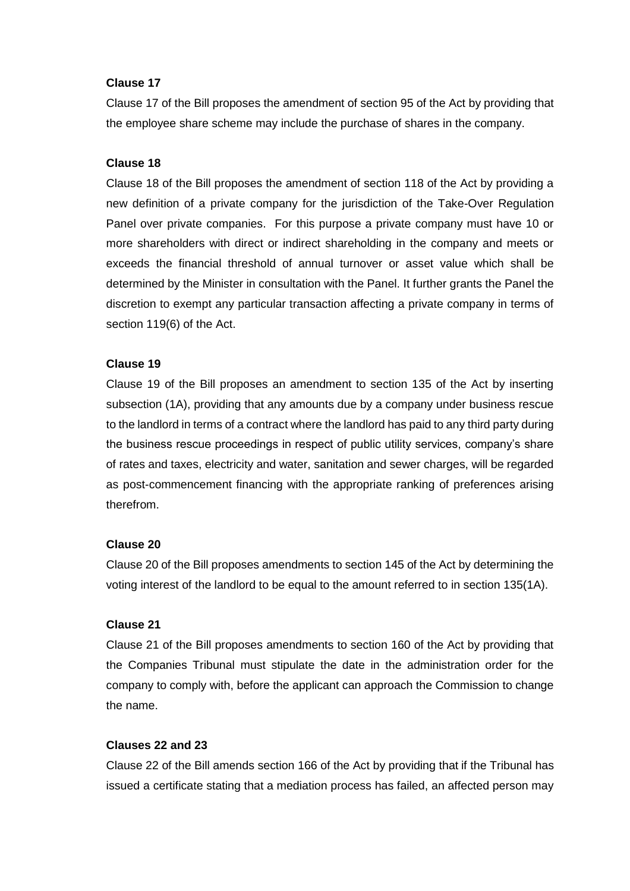#### **Clause 17**

Clause 17 of the Bill proposes the amendment of section 95 of the Act by providing that the employee share scheme may include the purchase of shares in the company.

#### **Clause 18**

Clause 18 of the Bill proposes the amendment of section 118 of the Act by providing a new definition of a private company for the jurisdiction of the Take-Over Regulation Panel over private companies. For this purpose a private company must have 10 or more shareholders with direct or indirect shareholding in the company and meets or exceeds the financial threshold of annual turnover or asset value which shall be determined by the Minister in consultation with the Panel. It further grants the Panel the discretion to exempt any particular transaction affecting a private company in terms of section 119(6) of the Act.

#### **Clause 19**

Clause 19 of the Bill proposes an amendment to section 135 of the Act by inserting subsection (1A), providing that any amounts due by a company under business rescue to the landlord in terms of a contract where the landlord has paid to any third party during the business rescue proceedings in respect of public utility services, company's share of rates and taxes, electricity and water, sanitation and sewer charges, will be regarded as post-commencement financing with the appropriate ranking of preferences arising therefrom.

#### **Clause 20**

Clause 20 of the Bill proposes amendments to section 145 of the Act by determining the voting interest of the landlord to be equal to the amount referred to in section 135(1A).

#### **Clause 21**

Clause 21 of the Bill proposes amendments to section 160 of the Act by providing that the Companies Tribunal must stipulate the date in the administration order for the company to comply with, before the applicant can approach the Commission to change the name.

#### **Clauses 22 and 23**

Clause 22 of the Bill amends section 166 of the Act by providing that if the Tribunal has issued a certificate stating that a mediation process has failed, an affected person may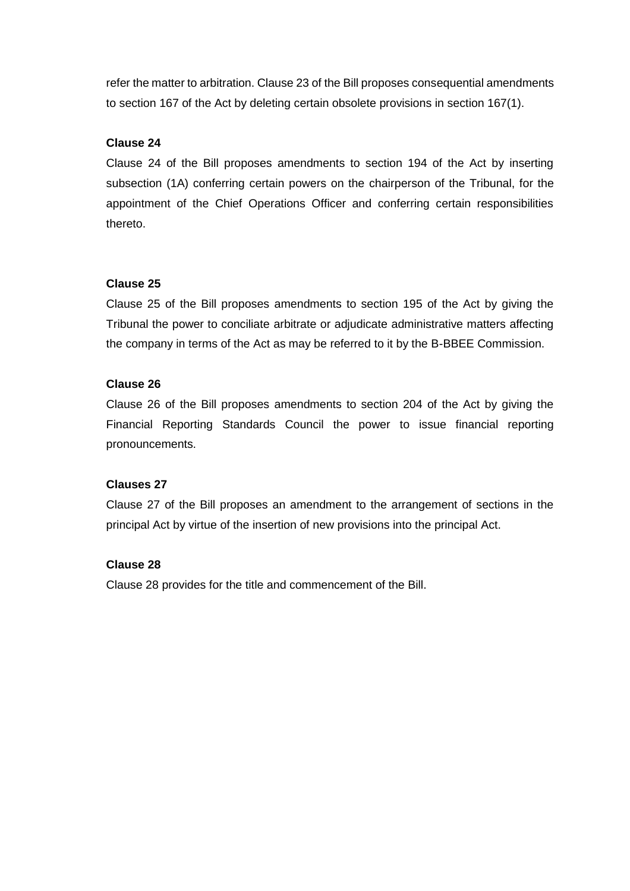refer the matter to arbitration. Clause 23 of the Bill proposes consequential amendments to section 167 of the Act by deleting certain obsolete provisions in section 167(1).

## **Clause 24**

Clause 24 of the Bill proposes amendments to section 194 of the Act by inserting subsection (1A) conferring certain powers on the chairperson of the Tribunal, for the appointment of the Chief Operations Officer and conferring certain responsibilities thereto.

### **Clause 25**

Clause 25 of the Bill proposes amendments to section 195 of the Act by giving the Tribunal the power to conciliate arbitrate or adjudicate administrative matters affecting the company in terms of the Act as may be referred to it by the B-BBEE Commission.

### **Clause 26**

Clause 26 of the Bill proposes amendments to section 204 of the Act by giving the Financial Reporting Standards Council the power to issue financial reporting pronouncements.

### **Clauses 27**

Clause 27 of the Bill proposes an amendment to the arrangement of sections in the principal Act by virtue of the insertion of new provisions into the principal Act.

# **Clause 28**

Clause 28 provides for the title and commencement of the Bill.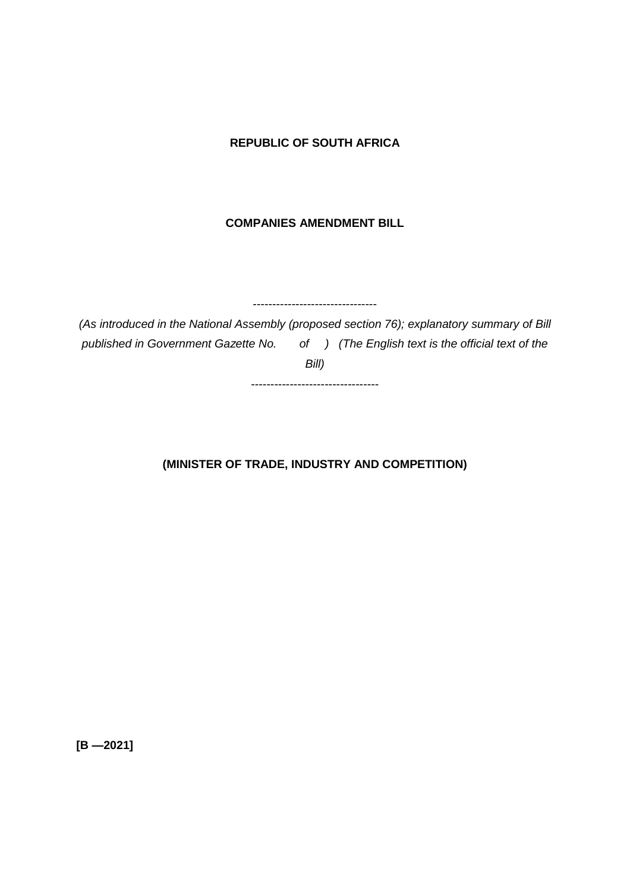## **REPUBLIC OF SOUTH AFRICA**

## **COMPANIES AMENDMENT BILL**

--------------------------------

*(As introduced in the National Assembly (proposed section 76); explanatory summary of Bill published in Government Gazette No. of ) (The English text is the official text of the Bill)*

---------------------------------

## **(MINISTER OF TRADE, INDUSTRY AND COMPETITION)**

**[B —2021]**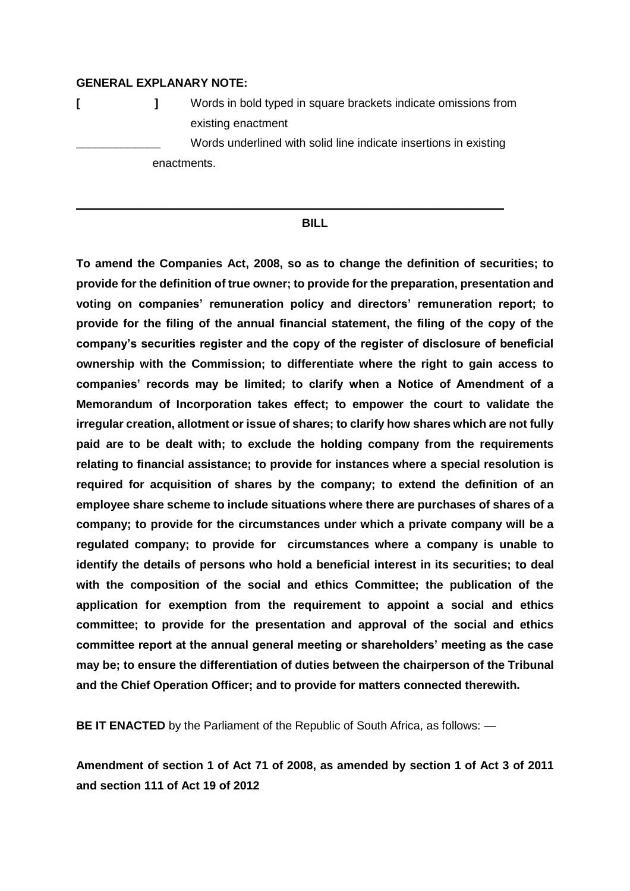#### **GENERAL EXPLANARY NOTE:**

**[ ]** Words in bold typed in square brackets indicate omissions from existing enactment Words underlined with solid line indicate insertions in existing enactments.

**\_\_\_\_\_\_\_\_\_\_\_\_\_\_\_\_\_\_\_\_\_\_\_\_\_\_\_\_\_\_\_\_\_\_\_\_\_\_\_\_\_\_\_\_\_\_\_\_\_\_\_\_\_\_\_\_\_\_\_\_\_\_\_\_\_\_**

#### **BILL**

**To amend the Companies Act, 2008, so as to change the definition of securities; to provide for the definition of true owner; to provide for the preparation, presentation and voting on companies' remuneration policy and directors' remuneration report; to provide for the filing of the annual financial statement, the filing of the copy of the company's securities register and the copy of the register of disclosure of beneficial ownership with the Commission; to differentiate where the right to gain access to companies' records may be limited; to clarify when a Notice of Amendment of a Memorandum of Incorporation takes effect; to empower the court to validate the irregular creation, allotment or issue of shares; to clarify how shares which are not fully paid are to be dealt with; to exclude the holding company from the requirements relating to financial assistance; to provide for instances where a special resolution is required for acquisition of shares by the company; to extend the definition of an employee share scheme to include situations where there are purchases of shares of a company; to provide for the circumstances under which a private company will be a regulated company; to provide for circumstances where a company is unable to identify the details of persons who hold a beneficial interest in its securities; to deal with the composition of the social and ethics Committee; the publication of the application for exemption from the requirement to appoint a social and ethics committee; to provide for the presentation and approval of the social and ethics committee report at the annual general meeting or shareholders' meeting as the case may be; to ensure the differentiation of duties between the chairperson of the Tribunal and the Chief Operation Officer; and to provide for matters connected therewith.**

**BE IT ENACTED** by the Parliament of the Republic of South Africa, as follows: —

**Amendment of section 1 of Act 71 of 2008, as amended by section 1 of Act 3 of 2011 and section 111 of Act 19 of 2012**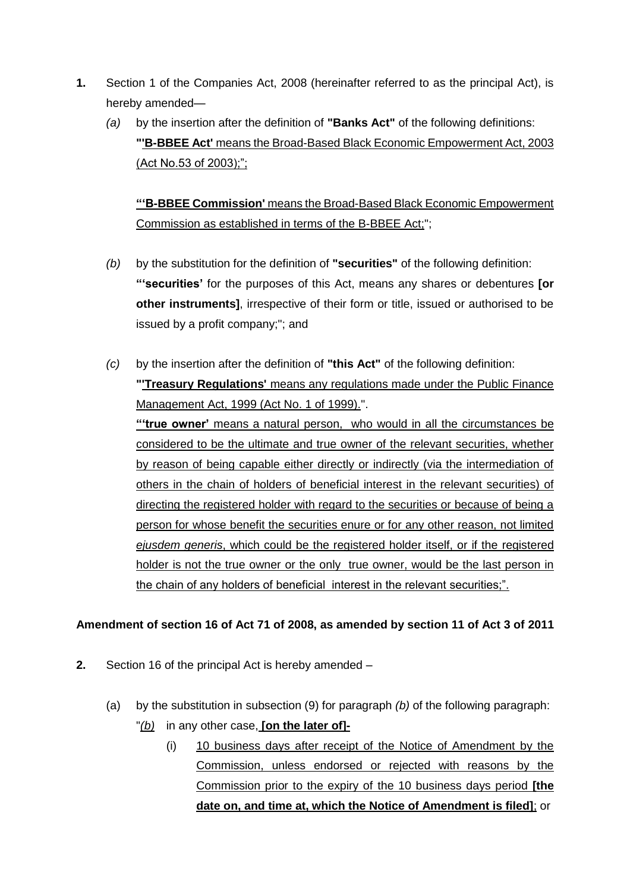- **1.** Section 1 of the Companies Act, 2008 (hereinafter referred to as the principal Act), is hereby amended—
	- *(a)* by the insertion after the definition of **"Banks Act"** of the following definitions: **"'B-BBEE Act'** means the Broad-Based Black Economic Empowerment Act, 2003 (Act No.53 of 2003);";

**"'B-BBEE Commission'** means the Broad-Based Black Economic Empowerment Commission as established in terms of the B-BBEE Act;";

- *(b)* by the substitution for the definition of **"securities"** of the following definition: **"'securities'** for the purposes of this Act, means any shares or debentures **[or other instruments]**, irrespective of their form or title, issued or authorised to be issued by a profit company;"; and
- *(c)* by the insertion after the definition of **"this Act"** of the following definition: **"'Treasury Regulations'** means any regulations made under the Public Finance Management Act, 1999 (Act No. 1 of 1999).". **"'true owner'** means a natural person, who would in all the circumstances be considered to be the ultimate and true owner of the relevant securities, whether by reason of being capable either directly or indirectly (via the intermediation of others in the chain of holders of beneficial interest in the relevant securities) of directing the registered holder with regard to the securities or because of being a person for whose benefit the securities enure or for any other reason, not limited *ejusdem generis*, which could be the registered holder itself, or if the registered holder is not the true owner or the only true owner, would be the last person in the chain of any holders of beneficial interest in the relevant securities;".

# **Amendment of section 16 of Act 71 of 2008, as amended by section 11 of Act 3 of 2011**

- **2.** Section 16 of the principal Act is hereby amended
	- (a) by the substitution in subsection (9) for paragraph *(b)* of the following paragraph: "*(b)* in any other case, **[on the later of]-**
		- (i) 10 business days after receipt of the Notice of Amendment by the Commission, unless endorsed or rejected with reasons by the Commission prior to the expiry of the 10 business days period **[the date on, and time at, which the Notice of Amendment is filed]**; or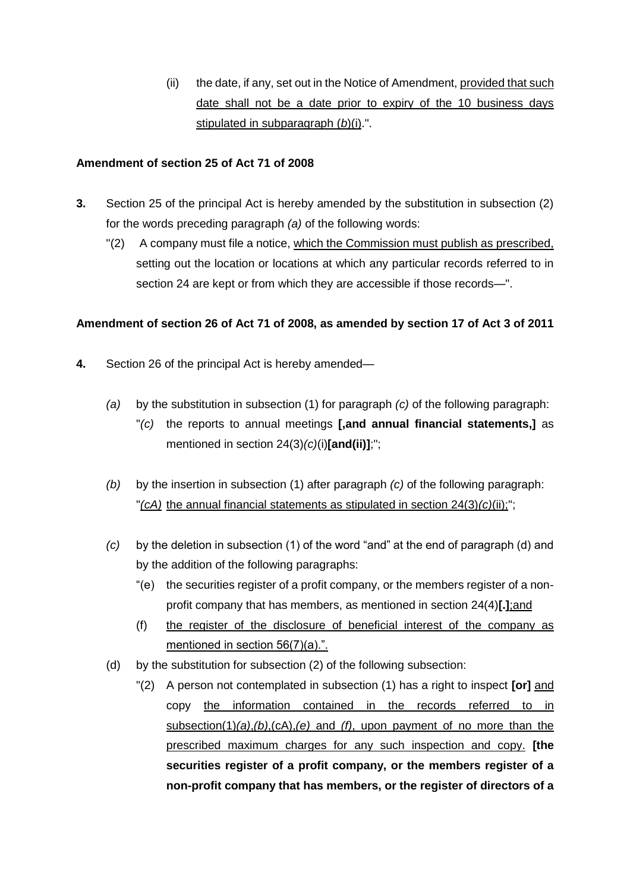(ii) the date, if any, set out in the Notice of Amendment, provided that such date shall not be a date prior to expiry of the 10 business days stipulated in subparagraph (*b*)(i).".

## **Amendment of section 25 of Act 71 of 2008**

- **3.** Section 25 of the principal Act is hereby amended by the substitution in subsection (2) for the words preceding paragraph *(a)* of the following words:
	- "(2) A company must file a notice, which the Commission must publish as prescribed, setting out the location or locations at which any particular records referred to in section 24 are kept or from which they are accessible if those records—".

# **Amendment of section 26 of Act 71 of 2008, as amended by section 17 of Act 3 of 2011**

- **4.** Section 26 of the principal Act is hereby amended—
	- *(a)* by the substitution in subsection (1) for paragraph *(c)* of the following paragraph: "*(c)* the reports to annual meetings **[,and annual financial statements,]** as mentioned in section 24(3)*(c)*(i)**[and(ii)]**;";
	- *(b)* by the insertion in subsection (1) after paragraph *(c)* of the following paragraph: "*(cA)* the annual financial statements as stipulated in section 24(3)*(c)*(ii);";
	- *(c)* by the deletion in subsection (1) of the word "and" at the end of paragraph (d) and by the addition of the following paragraphs:
		- "(e) the securities register of a profit company, or the members register of a nonprofit company that has members, as mentioned in section 24(4)**[.]**;and
		- (f) the register of the disclosure of beneficial interest of the company as mentioned in section 56(7)(a).".
	- (d) by the substitution for subsection (2) of the following subsection:
		- "(2) A person not contemplated in subsection (1) has a right to inspect **[or]** and copy the information contained in the records referred to in subsection(1)*(a)*,*(b)*,(cA),*(e)* and *(f)*, upon payment of no more than the prescribed maximum charges for any such inspection and copy. **[the securities register of a profit company, or the members register of a non-profit company that has members, or the register of directors of a**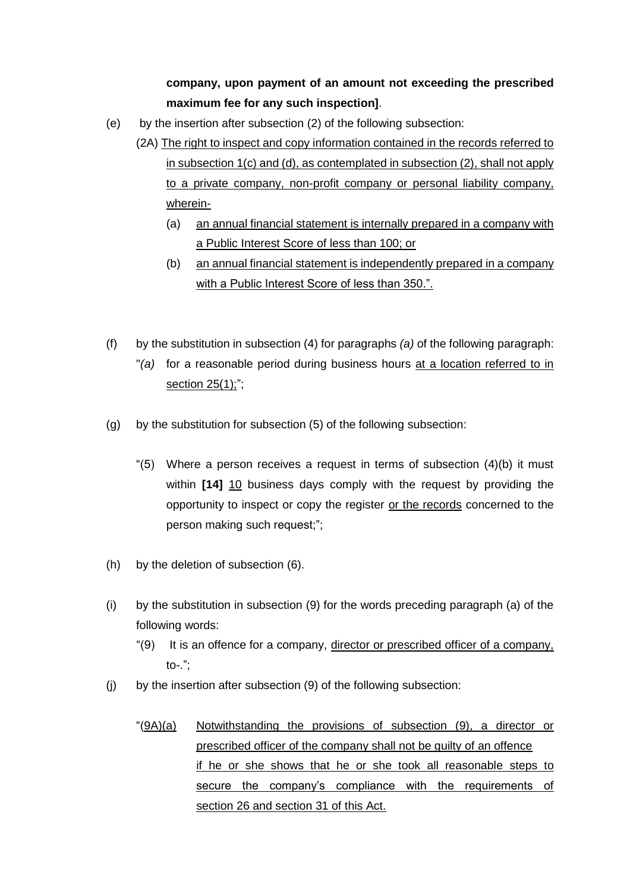# **company, upon payment of an amount not exceeding the prescribed maximum fee for any such inspection]**.

- (e) by the insertion after subsection (2) of the following subsection:
	- (2A) The right to inspect and copy information contained in the records referred to in subsection 1(c) and (d), as contemplated in subsection (2), shall not apply to a private company, non-profit company or personal liability company, wherein-
		- (a) an annual financial statement is internally prepared in a company with a Public Interest Score of less than 100; or
		- (b) an annual financial statement is independently prepared in a company with a Public Interest Score of less than 350.".
- (f) by the substitution in subsection (4) for paragraphs *(a)* of the following paragraph: "*(a)* for a reasonable period during business hours at a location referred to in section 25(1);";
- (g) by the substitution for subsection (5) of the following subsection:
	- "(5) Where a person receives a request in terms of subsection  $(4)(b)$  it must within **[14]** 10 business days comply with the request by providing the opportunity to inspect or copy the register or the records concerned to the person making such request;";
- (h) by the deletion of subsection (6).
- (i) by the substitution in subsection (9) for the words preceding paragraph (a) of the following words:
	- "(9) It is an offence for a company, director or prescribed officer of a company, to-.";
- (j) by the insertion after subsection (9) of the following subsection:
	- "(9A)(a) Notwithstanding the provisions of subsection (9), a director or prescribed officer of the company shall not be guilty of an offence if he or she shows that he or she took all reasonable steps to secure the company's compliance with the requirements of section 26 and section 31 of this Act.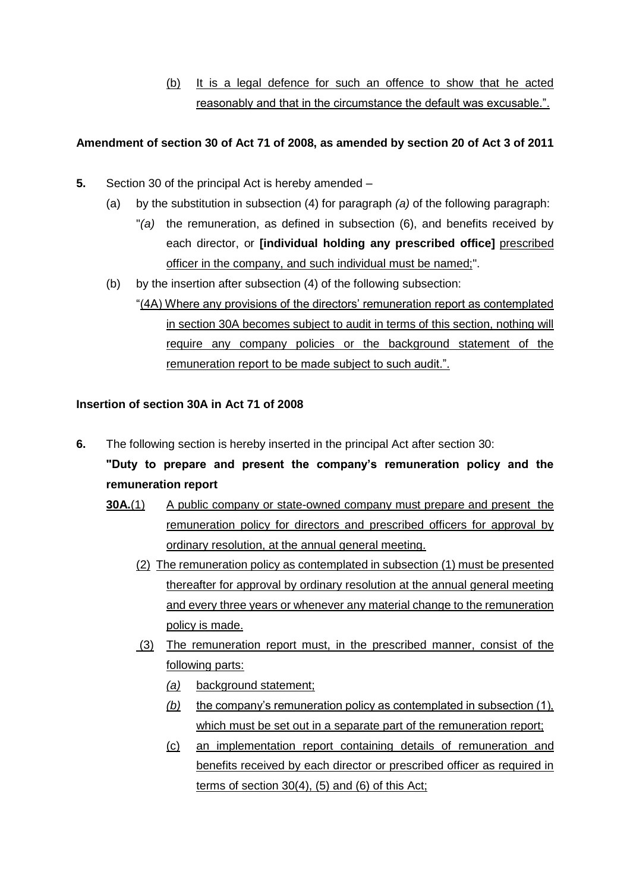(b) It is a legal defence for such an offence to show that he acted reasonably and that in the circumstance the default was excusable.".

## **Amendment of section 30 of Act 71 of 2008, as amended by section 20 of Act 3 of 2011**

- **5.** Section 30 of the principal Act is hereby amended
	- (a) by the substitution in subsection (4) for paragraph *(a)* of the following paragraph:
		- "*(a)* the remuneration, as defined in subsection (6), and benefits received by each director, or **[individual holding any prescribed office]** prescribed officer in the company, and such individual must be named;".
	- (b) by the insertion after subsection (4) of the following subsection:
		- "(4A) Where any provisions of the directors' remuneration report as contemplated in section 30A becomes subject to audit in terms of this section, nothing will require any company policies or the background statement of the remuneration report to be made subject to such audit.".

### **Insertion of section 30A in Act 71 of 2008**

**6.** The following section is hereby inserted in the principal Act after section 30:

**"Duty to prepare and present the company's remuneration policy and the remuneration report** 

- **30A.**(1) A public company or state-owned company must prepare and present the remuneration policy for directors and prescribed officers for approval by ordinary resolution, at the annual general meeting.
	- (2) The remuneration policy as contemplated in subsection (1) must be presented thereafter for approval by ordinary resolution at the annual general meeting and every three years or whenever any material change to the remuneration policy is made.
	- (3) The remuneration report must, in the prescribed manner, consist of the following parts:
		- *(a)* background statement;
		- *(b)* the company's remuneration policy as contemplated in subsection (1), which must be set out in a separate part of the remuneration report;
		- (c) an implementation report containing details of remuneration and benefits received by each director or prescribed officer as required in terms of section 30(4), (5) and (6) of this Act;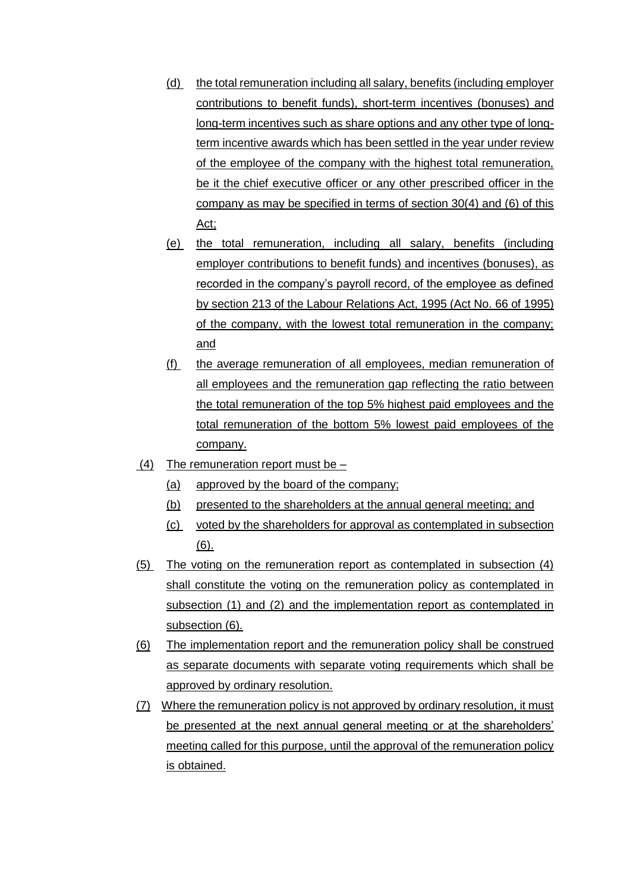- (d) the total remuneration including all salary, benefits (including employer contributions to benefit funds), short-term incentives (bonuses) and long-term incentives such as share options and any other type of longterm incentive awards which has been settled in the year under review of the employee of the company with the highest total remuneration, be it the chief executive officer or any other prescribed officer in the company as may be specified in terms of section 30(4) and (6) of this Act;
- (e) the total remuneration, including all salary, benefits (including employer contributions to benefit funds) and incentives (bonuses), as recorded in the company's payroll record, of the employee as defined by section 213 of the Labour Relations Act, 1995 (Act No. 66 of 1995) of the company, with the lowest total remuneration in the company; and
- (f) the average remuneration of all employees, median remuneration of all employees and the remuneration gap reflecting the ratio between the total remuneration of the top 5% highest paid employees and the total remuneration of the bottom 5% lowest paid employees of the company.
- (4) The remuneration report must be  $-$ 
	- (a) approved by the board of the company;
	- (b) presented to the shareholders at the annual general meeting; and
	- (c) voted by the shareholders for approval as contemplated in subsection (6).
- (5) The voting on the remuneration report as contemplated in subsection (4) shall constitute the voting on the remuneration policy as contemplated in subsection (1) and (2) and the implementation report as contemplated in subsection (6).
- (6) The implementation report and the remuneration policy shall be construed as separate documents with separate voting requirements which shall be approved by ordinary resolution.
- (7) Where the remuneration policy is not approved by ordinary resolution, it must be presented at the next annual general meeting or at the shareholders' meeting called for this purpose, until the approval of the remuneration policy is obtained.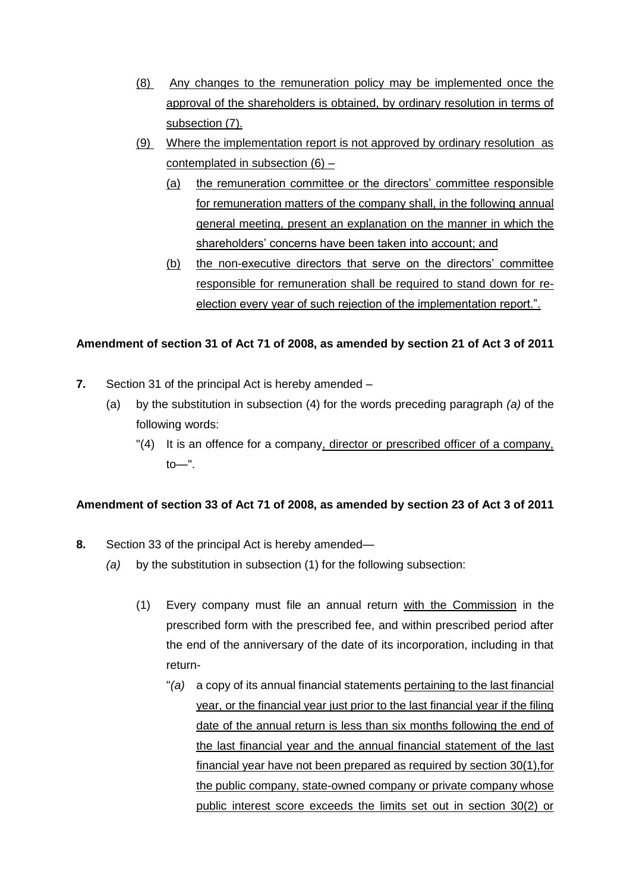- (8) Any changes to the remuneration policy may be implemented once the approval of the shareholders is obtained, by ordinary resolution in terms of subsection (7).
- (9) Where the implementation report is not approved by ordinary resolution as contemplated in subsection (6) –
	- (a) the remuneration committee or the directors' committee responsible for remuneration matters of the company shall, in the following annual general meeting, present an explanation on the manner in which the shareholders' concerns have been taken into account; and
	- (b) the non-executive directors that serve on the directors' committee responsible for remuneration shall be required to stand down for reelection every year of such rejection of the implementation report.".

# **Amendment of section 31 of Act 71 of 2008, as amended by section 21 of Act 3 of 2011**

- **7.** Section 31 of the principal Act is hereby amended
	- (a) by the substitution in subsection (4) for the words preceding paragraph *(a)* of the following words:
		- $\lceil (4) \rceil$  It is an offence for a company, director or prescribed officer of a company,  $to$

### **Amendment of section 33 of Act 71 of 2008, as amended by section 23 of Act 3 of 2011**

- **8.** Section 33 of the principal Act is hereby amended—
	- *(a)* by the substitution in subsection (1) for the following subsection:
		- (1) Every company must file an annual return with the Commission in the prescribed form with the prescribed fee, and within prescribed period after the end of the anniversary of the date of its incorporation, including in that return-
			- "*(a)* a copy of its annual financial statements pertaining to the last financial year, or the financial year just prior to the last financial year if the filing date of the annual return is less than six months following the end of the last financial year and the annual financial statement of the last financial year have not been prepared as required by section 30(1),for the public company, state-owned company or private company whose public interest score exceeds the limits set out in section 30(2) or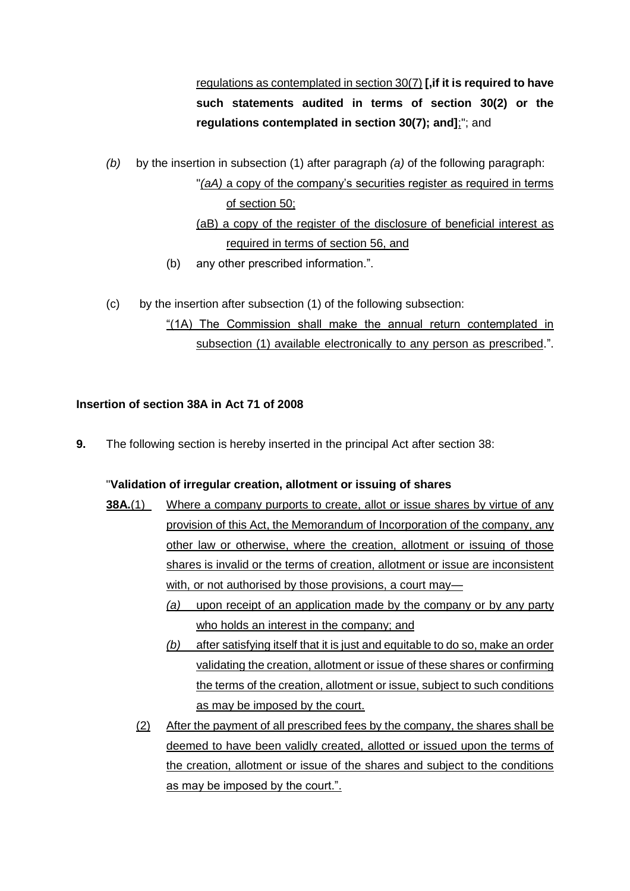regulations as contemplated in section 30(7) **[,if it is required to have such statements audited in terms of section 30(2) or the regulations contemplated in section 30(7); and]**;"; and

*(b)* by the insertion in subsection (1) after paragraph *(a)* of the following paragraph:

"*(aA)* a copy of the company's securities register as required in terms of section 50; (aB) a copy of the register of the disclosure of beneficial interest as

required in terms of section 56, and

- (b) any other prescribed information.".
- (c) by the insertion after subsection (1) of the following subsection:

"(1A) The Commission shall make the annual return contemplated in subsection (1) available electronically to any person as prescribed.".

# **Insertion of section 38A in Act 71 of 2008**

**9.** The following section is hereby inserted in the principal Act after section 38:

# "**Validation of irregular creation, allotment or issuing of shares**

- **38A.**(1) Where a company purports to create, allot or issue shares by virtue of any provision of this Act, the Memorandum of Incorporation of the company, any other law or otherwise, where the creation, allotment or issuing of those shares is invalid or the terms of creation, allotment or issue are inconsistent with, or not authorised by those provisions, a court may—
	- *(a)* upon receipt of an application made by the company or by any party who holds an interest in the company; and
	- *(b)* after satisfying itself that it is just and equitable to do so, make an order validating the creation, allotment or issue of these shares or confirming the terms of the creation, allotment or issue, subject to such conditions as may be imposed by the court.
	- (2) After the payment of all prescribed fees by the company, the shares shall be deemed to have been validly created, allotted or issued upon the terms of the creation, allotment or issue of the shares and subject to the conditions as may be imposed by the court.".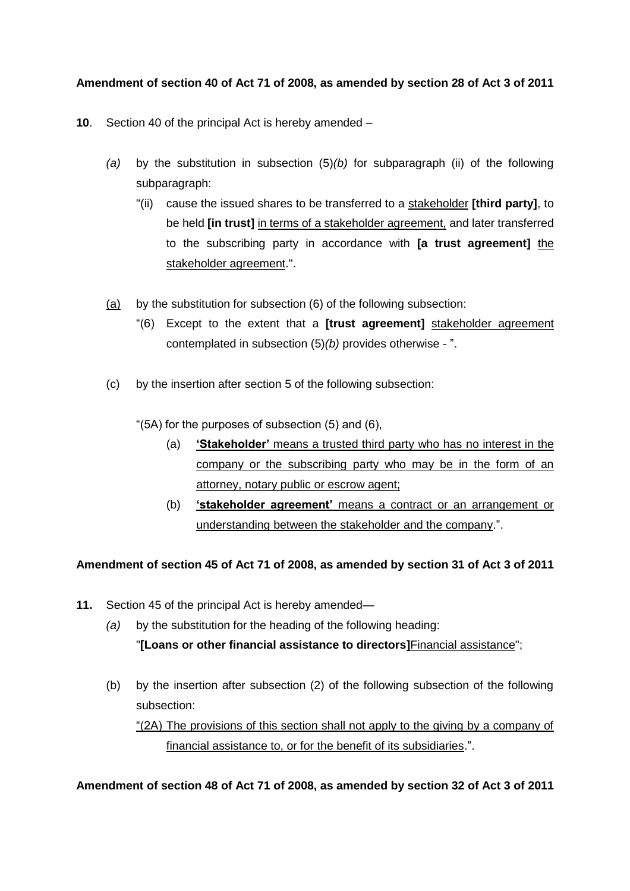# **Amendment of section 40 of Act 71 of 2008, as amended by section 28 of Act 3 of 2011**

- **10**. Section 40 of the principal Act is hereby amended
	- *(a)* by the substitution in subsection (5)*(b)* for subparagraph (ii) of the following subparagraph:
		- "(ii) cause the issued shares to be transferred to a stakeholder **[third party]**, to be held **[in trust]** in terms of a stakeholder agreement, and later transferred to the subscribing party in accordance with **[a trust agreement]** the stakeholder agreement.".
	- (a) by the substitution for subsection (6) of the following subsection:
		- "(6) Except to the extent that a **[trust agreement]** stakeholder agreement contemplated in subsection (5)*(b)* provides otherwise - ".
	- (c) by the insertion after section 5 of the following subsection:
		- "(5A) for the purposes of subsection (5) and (6),
			- (a) **'Stakeholder'** means a trusted third party who has no interest in the company or the subscribing party who may be in the form of an attorney, notary public or escrow agent;
			- (b) **'stakeholder agreement'** means a contract or an arrangement or understanding between the stakeholder and the company.".

### **Amendment of section 45 of Act 71 of 2008, as amended by section 31 of Act 3 of 2011**

- **11.** Section 45 of the principal Act is hereby amended—
	- *(a)* by the substitution for the heading of the following heading: "**[Loans or other financial assistance to directors]**Financial assistance";
	- (b) by the insertion after subsection (2) of the following subsection of the following subsection:

"(2A) The provisions of this section shall not apply to the giving by a company of financial assistance to, or for the benefit of its subsidiaries.".

**Amendment of section 48 of Act 71 of 2008, as amended by section 32 of Act 3 of 2011**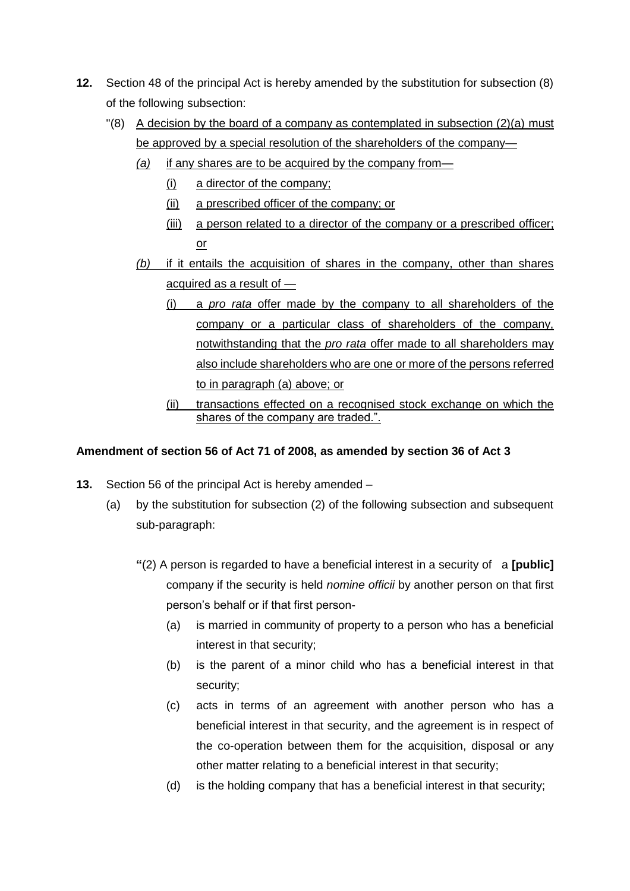- **12.** Section 48 of the principal Act is hereby amended by the substitution for subsection (8) of the following subsection:
	- $\degree$  (8) A decision by the board of a company as contemplated in subsection (2)(a) must be approved by a special resolution of the shareholders of the company-
		- *(a)* if any shares are to be acquired by the company from—
			- (i) a director of the company;
			- (ii) a prescribed officer of the company; or
			- (iii) a person related to a director of the company or a prescribed officer; or
		- *(b)* if it entails the acquisition of shares in the company, other than shares acquired as a result of —
			- (i) a *pro rata* offer made by the company to all shareholders of the company or a particular class of shareholders of the company, notwithstanding that the *pro rata* offer made to all shareholders may also include shareholders who are one or more of the persons referred to in paragraph (a) above; or
			- (ii) transactions effected on a recognised stock exchange on which the shares of the company are traded.".

## **Amendment of section 56 of Act 71 of 2008, as amended by section 36 of Act 3**

- **13.** Section 56 of the principal Act is hereby amended
	- (a) by the substitution for subsection (2) of the following subsection and subsequent sub-paragraph:
		- **"**(2) A person is regarded to have a beneficial interest in a security of a **[public]** company if the security is held *nomine officii* by another person on that first person's behalf or if that first person-
			- (a) is married in community of property to a person who has a beneficial interest in that security;
			- (b) is the parent of a minor child who has a beneficial interest in that security;
			- (c) acts in terms of an agreement with another person who has a beneficial interest in that security, and the agreement is in respect of the co-operation between them for the acquisition, disposal or any other matter relating to a beneficial interest in that security;
			- (d) is the holding company that has a beneficial interest in that security;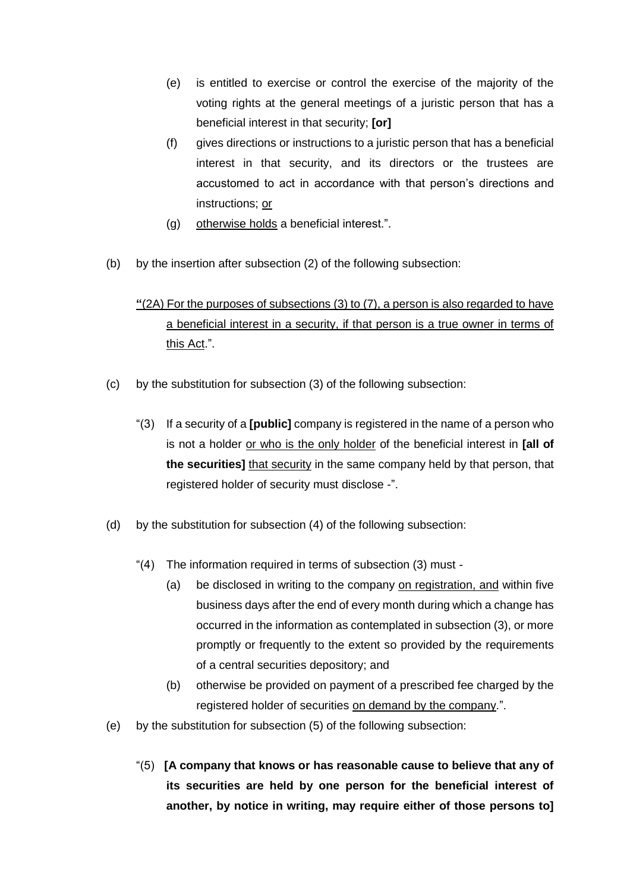- (e) is entitled to exercise or control the exercise of the majority of the voting rights at the general meetings of a juristic person that has a beneficial interest in that security; **[or]**
- (f) gives directions or instructions to a juristic person that has a beneficial interest in that security, and its directors or the trustees are accustomed to act in accordance with that person's directions and instructions; or
- (g) otherwise holds a beneficial interest.".
- (b) by the insertion after subsection (2) of the following subsection:

# **"**(2A) For the purposes of subsections (3) to (7), a person is also regarded to have a beneficial interest in a security, if that person is a true owner in terms of this Act.".

- (c) by the substitution for subsection (3) of the following subsection:
	- "(3) If a security of a **[public]** company is registered in the name of a person who is not a holder or who is the only holder of the beneficial interest in **[all of the securities]** that security in the same company held by that person, that registered holder of security must disclose -".
- (d) by the substitution for subsection (4) of the following subsection:
	- "(4) The information required in terms of subsection (3) must
		- (a) be disclosed in writing to the company on registration, and within five business days after the end of every month during which a change has occurred in the information as contemplated in subsection (3), or more promptly or frequently to the extent so provided by the requirements of a central securities depository; and
		- (b) otherwise be provided on payment of a prescribed fee charged by the registered holder of securities on demand by the company.".
- (e) by the substitution for subsection (5) of the following subsection:
	- "(5) **[A company that knows or has reasonable cause to believe that any of its securities are held by one person for the beneficial interest of another, by notice in writing, may require either of those persons to]**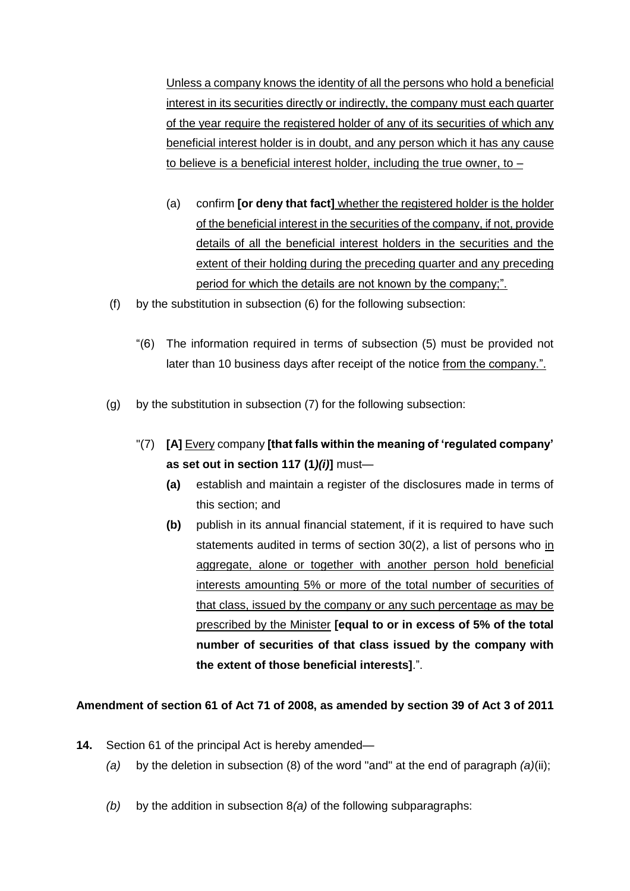Unless a company knows the identity of all the persons who hold a beneficial interest in its securities directly or indirectly, the company must each quarter of the year require the registered holder of any of its securities of which any beneficial interest holder is in doubt, and any person which it has any cause to believe is a beneficial interest holder, including the true owner, to  $-$ 

- (a) confirm **[or deny that fact]** whether the registered holder is the holder of the beneficial interest in the securities of the company, if not, provide details of all the beneficial interest holders in the securities and the extent of their holding during the preceding quarter and any preceding period for which the details are not known by the company;".
- (f) by the substitution in subsection (6) for the following subsection:
	- "(6) The information required in terms of subsection (5) must be provided not later than 10 business days after receipt of the notice from the company.".
- (g) by the substitution in subsection (7) for the following subsection:
	- "(7) **[A]** Every company **[that falls within the meaning of 'regulated company' as set out in section 117 (1***)(i)***]** must—
		- **(a)** establish and maintain a register of the disclosures made in terms of this section; and
		- **(b)** publish in its annual financial statement, if it is required to have such statements audited in terms of section 30(2), a list of persons who in aggregate, alone or together with another person hold beneficial interests amounting 5% or more of the total number of securities of that class, issued by the company or any such percentage as may be prescribed by the Minister **[equal to or in excess of 5% of the total number of securities of that class issued by the company with the extent of those beneficial interests]**.".

### **Amendment of section 61 of Act 71 of 2008, as amended by section 39 of Act 3 of 2011**

- **14.** Section 61 of the principal Act is hereby amended—
	- *(a)* by the deletion in subsection (8) of the word "and" at the end of paragraph *(a)*(ii);
	- *(b)* by the addition in subsection 8*(a)* of the following subparagraphs: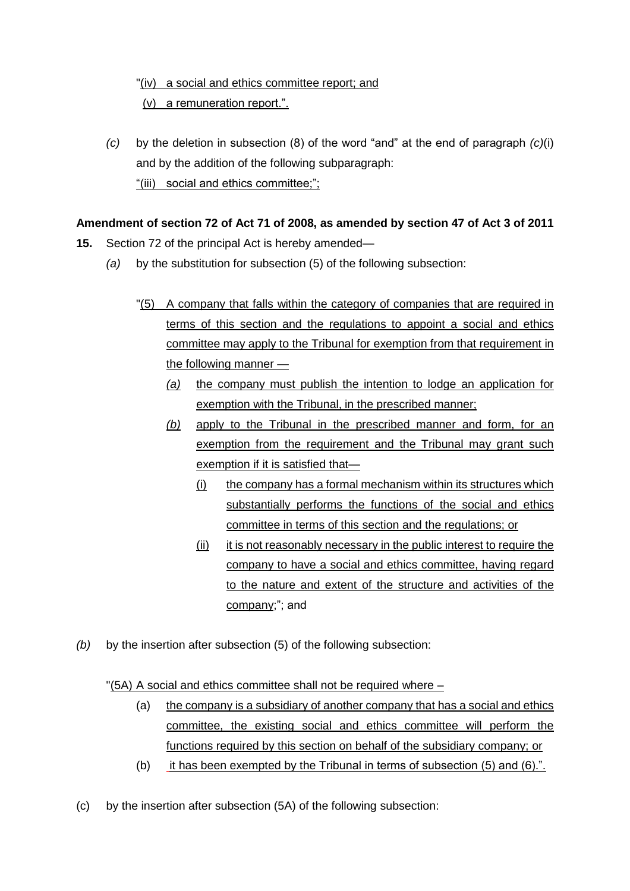# "(iv) a social and ethics committee report; and (v) a remuneration report.".

*(c)* by the deletion in subsection (8) of the word "and" at the end of paragraph *(c)*(i) and by the addition of the following subparagraph: "(iii) social and ethics committee;";

# **Amendment of section 72 of Act 71 of 2008, as amended by section 47 of Act 3 of 2011**

- **15.** Section 72 of the principal Act is hereby amended—
	- *(a)* by the substitution for subsection (5) of the following subsection:
		- "(5) A company that falls within the category of companies that are required in terms of this section and the regulations to appoint a social and ethics committee may apply to the Tribunal for exemption from that requirement in the following manner —
			- *(a)* the company must publish the intention to lodge an application for exemption with the Tribunal, in the prescribed manner;
			- *(b)* apply to the Tribunal in the prescribed manner and form, for an exemption from the requirement and the Tribunal may grant such exemption if it is satisfied that—
				- (i) the company has a formal mechanism within its structures which substantially performs the functions of the social and ethics committee in terms of this section and the regulations; or
				- (ii) it is not reasonably necessary in the public interest to require the company to have a social and ethics committee, having regard to the nature and extent of the structure and activities of the company;"; and
- *(b)* by the insertion after subsection (5) of the following subsection:

# "(5A) A social and ethics committee shall not be required where –

- (a) the company is a subsidiary of another company that has a social and ethics committee, the existing social and ethics committee will perform the functions required by this section on behalf of the subsidiary company; or
- (b) it has been exempted by the Tribunal in terms of subsection (5) and (6).".
- (c) by the insertion after subsection (5A) of the following subsection: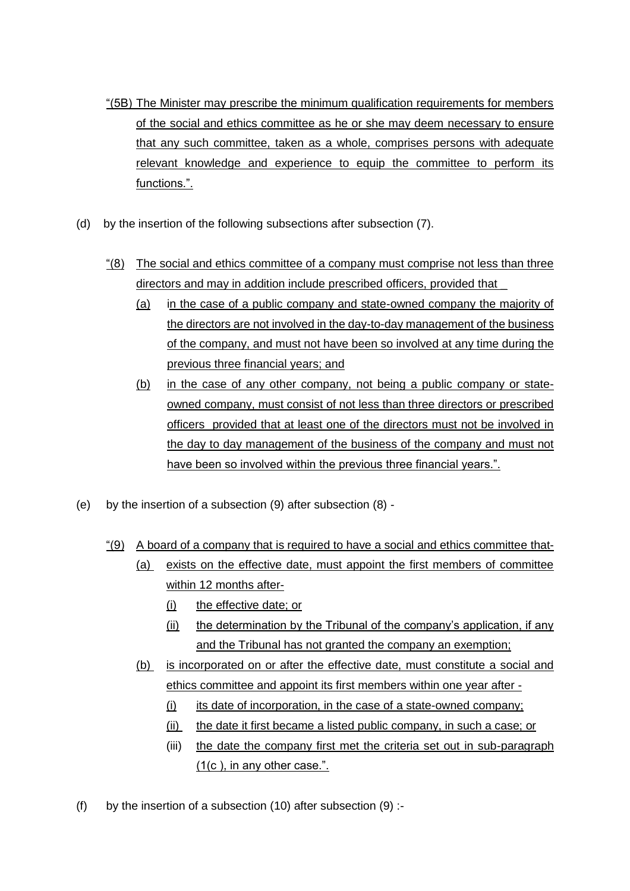- "(5B) The Minister may prescribe the minimum qualification requirements for members of the social and ethics committee as he or she may deem necessary to ensure that any such committee, taken as a whole, comprises persons with adequate relevant knowledge and experience to equip the committee to perform its functions.".
- (d) by the insertion of the following subsections after subsection (7).
	- "(8) The social and ethics committee of a company must comprise not less than three directors and may in addition include prescribed officers, provided that \_
		- (a) in the case of a public company and state-owned company the majority of the directors are not involved in the day-to-day management of the business of the company, and must not have been so involved at any time during the previous three financial years; and
		- (b) in the case of any other company, not being a public company or stateowned company, must consist of not less than three directors or prescribed officers provided that at least one of the directors must not be involved in the day to day management of the business of the company and must not have been so involved within the previous three financial years.".
- (e) by the insertion of a subsection (9) after subsection (8)
	- $\frac{4}{9}$  A board of a company that is required to have a social and ethics committee that-
		- (a) exists on the effective date, must appoint the first members of committee within 12 months after-
			- (i) the effective date; or
			- (ii) the determination by the Tribunal of the company's application, if any and the Tribunal has not granted the company an exemption;
		- (b) is incorporated on or after the effective date, must constitute a social and ethics committee and appoint its first members within one year after -
			- (i) its date of incorporation, in the case of a state-owned company;
			- (ii) the date it first became a listed public company, in such a case; or
			- (iii) the date the company first met the criteria set out in sub-paragraph (1(c ), in any other case.".
- (f) by the insertion of a subsection (10) after subsection  $(9)$  :-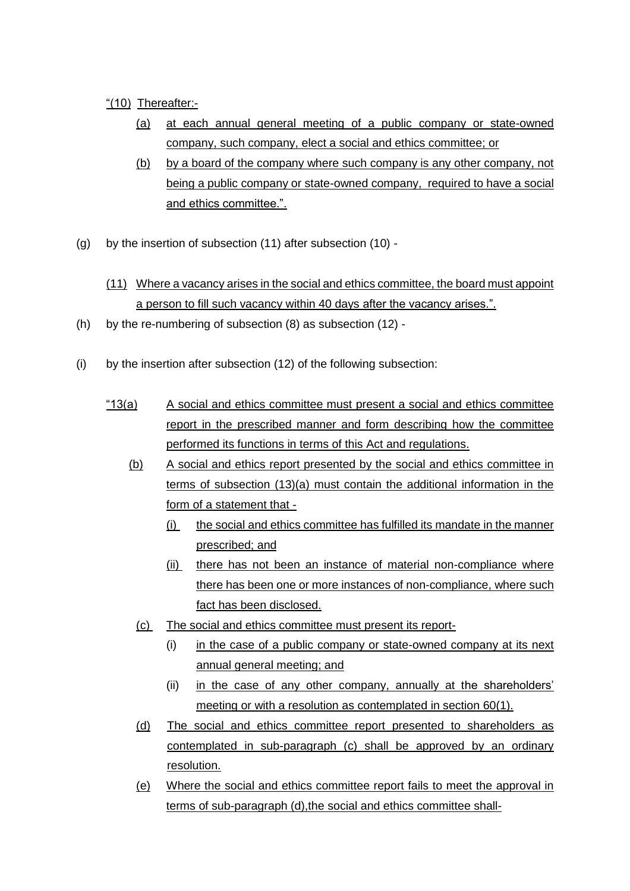# "(10) Thereafter:-

- (a) at each annual general meeting of a public company or state-owned company, such company, elect a social and ethics committee; or
- (b) by a board of the company where such company is any other company, not being a public company or state-owned company, required to have a social and ethics committee.".
- (g) by the insertion of subsection (11) after subsection (10)
	- (11) Where a vacancy arises in the social and ethics committee, the board must appoint a person to fill such vacancy within 40 days after the vacancy arises.".
- (h) by the re-numbering of subsection (8) as subsection (12) -
- (i) by the insertion after subsection (12) of the following subsection:
	- "13(a) A social and ethics committee must present a social and ethics committee report in the prescribed manner and form describing how the committee performed its functions in terms of this Act and regulations.
		- (b) A social and ethics report presented by the social and ethics committee in terms of subsection (13)(a) must contain the additional information in the form of a statement that -
			- (i) the social and ethics committee has fulfilled its mandate in the manner prescribed; and
			- (ii) there has not been an instance of material non-compliance where there has been one or more instances of non-compliance, where such fact has been disclosed.
			- (c) The social and ethics committee must present its report-
				- (i) in the case of a public company or state-owned company at its next annual general meeting; and
				- (ii) in the case of any other company, annually at the shareholders' meeting or with a resolution as contemplated in section 60(1).
			- (d) The social and ethics committee report presented to shareholders as contemplated in sub-paragraph (c) shall be approved by an ordinary resolution.
			- (e) Where the social and ethics committee report fails to meet the approval in terms of sub-paragraph (d),the social and ethics committee shall-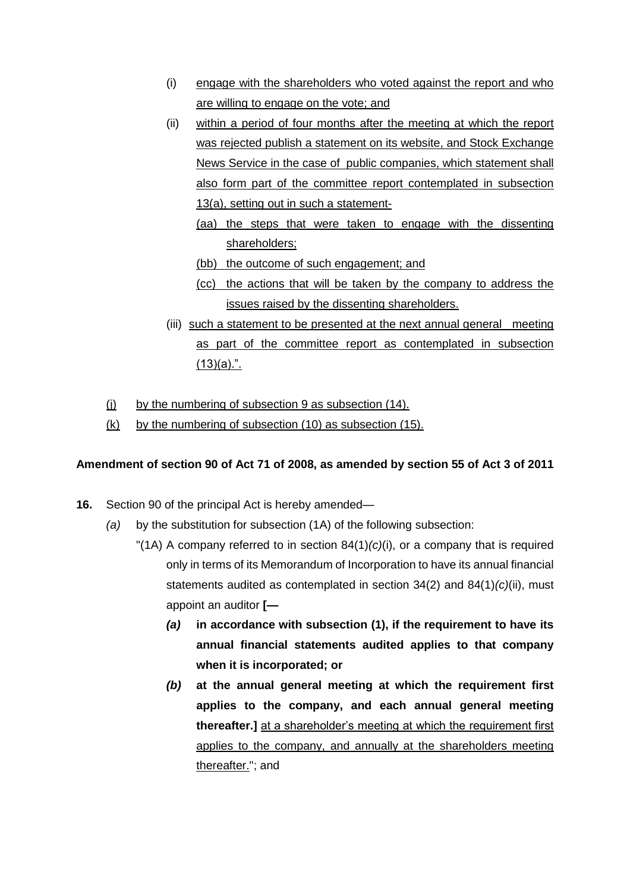- (i) engage with the shareholders who voted against the report and who are willing to engage on the vote; and
- (ii) within a period of four months after the meeting at which the report was rejected publish a statement on its website, and Stock Exchange News Service in the case of public companies, which statement shall also form part of the committee report contemplated in subsection 13(a), setting out in such a statement-
	- (aa) the steps that were taken to engage with the dissenting shareholders;
	- (bb) the outcome of such engagement; and
	- (cc) the actions that will be taken by the company to address the issues raised by the dissenting shareholders.
- (iii) such a statement to be presented at the next annual general meeting as part of the committee report as contemplated in subsection  $(13)(a)$ .".
- (i) by the numbering of subsection 9 as subsection (14).
- (k) by the numbering of subsection (10) as subsection (15).

### **Amendment of section 90 of Act 71 of 2008, as amended by section 55 of Act 3 of 2011**

- **16.** Section 90 of the principal Act is hereby amended—
	- *(a)* by the substitution for subsection (1A) of the following subsection:
		- "(1A) A company referred to in section 84(1)*(c)*(i), or a company that is required only in terms of its Memorandum of Incorporation to have its annual financial statements audited as contemplated in section 34(2) and 84(1)*(c)*(ii), must appoint an auditor **[—**
			- *(a)* **in accordance with subsection (1), if the requirement to have its annual financial statements audited applies to that company when it is incorporated; or**
			- *(b)* **at the annual general meeting at which the requirement first applies to the company, and each annual general meeting thereafter.]** at a shareholder's meeting at which the requirement first applies to the company, and annually at the shareholders meeting thereafter."; and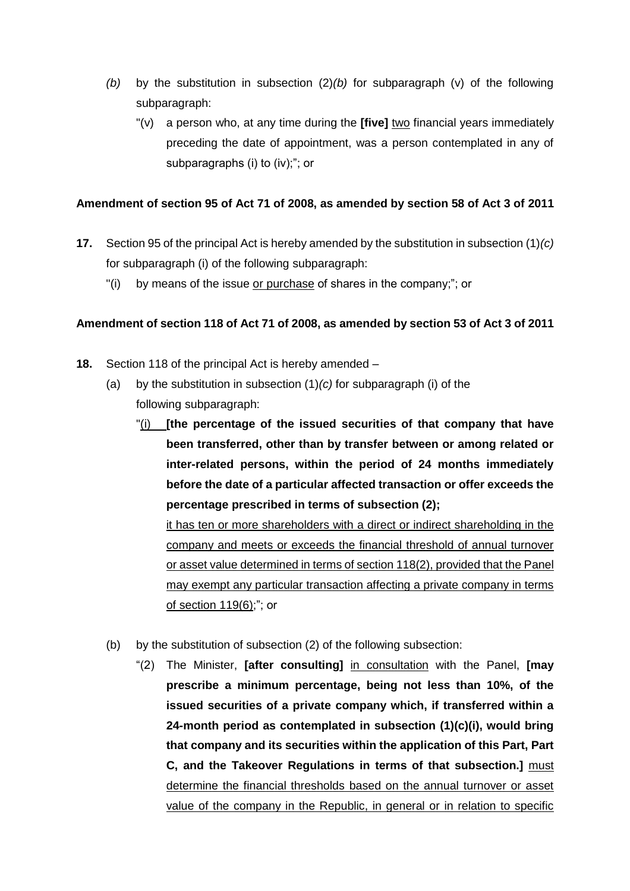- *(b)* by the substitution in subsection (2)*(b)* for subparagraph (v) of the following subparagraph:
	- "(v) a person who, at any time during the **[five]** two financial years immediately preceding the date of appointment, was a person contemplated in any of subparagraphs (i) to (iv);"; or

## **Amendment of section 95 of Act 71 of 2008, as amended by section 58 of Act 3 of 2011**

- **17.** Section 95 of the principal Act is hereby amended by the substitution in subsection (1)*(c)* for subparagraph (i) of the following subparagraph:
	- "(i) by means of the issue or purchase of shares in the company;"; or

### **Amendment of section 118 of Act 71 of 2008, as amended by section 53 of Act 3 of 2011**

- **18.** Section 118 of the principal Act is hereby amended
	- (a) by the substitution in subsection (1)*(c)* for subparagraph (i) of the following subparagraph:
		- "(i) **[the percentage of the issued securities of that company that have been transferred, other than by transfer between or among related or inter-related persons, within the period of 24 months immediately before the date of a particular affected transaction or offer exceeds the percentage prescribed in terms of subsection (2);**

it has ten or more shareholders with a direct or indirect shareholding in the company and meets or exceeds the financial threshold of annual turnover or asset value determined in terms of section 118(2), provided that the Panel may exempt any particular transaction affecting a private company in terms of section 119(6);"; or

- (b) by the substitution of subsection (2) of the following subsection:
	- "(2) The Minister, **[after consulting]** in consultation with the Panel, **[may prescribe a minimum percentage, being not less than 10%, of the issued securities of a private company which, if transferred within a 24-month period as contemplated in subsection (1)(c)(i), would bring that company and its securities within the application of this Part, Part C, and the Takeover Regulations in terms of that subsection.]** must determine the financial thresholds based on the annual turnover or asset value of the company in the Republic, in general or in relation to specific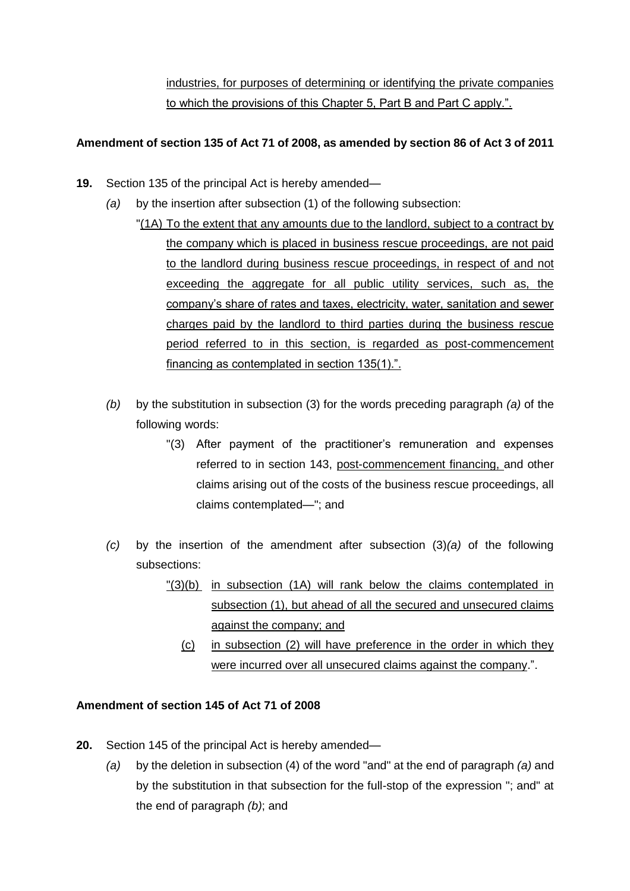industries, for purposes of determining or identifying the private companies to which the provisions of this Chapter 5, Part B and Part C apply.".

## **Amendment of section 135 of Act 71 of 2008, as amended by section 86 of Act 3 of 2011**

- **19.** Section 135 of the principal Act is hereby amended—
	- *(a)* by the insertion after subsection (1) of the following subsection:
		- "(1A) To the extent that any amounts due to the landlord, subject to a contract by the company which is placed in business rescue proceedings, are not paid to the landlord during business rescue proceedings, in respect of and not exceeding the aggregate for all public utility services, such as, the company's share of rates and taxes, electricity, water, sanitation and sewer charges paid by the landlord to third parties during the business rescue period referred to in this section, is regarded as post-commencement financing as contemplated in section 135(1).".
	- *(b)* by the substitution in subsection (3) for the words preceding paragraph *(a)* of the following words:
		- "(3) After payment of the practitioner's remuneration and expenses referred to in section 143, post-commencement financing, and other claims arising out of the costs of the business rescue proceedings, all claims contemplated—"; and
	- *(c)* by the insertion of the amendment after subsection (3)*(a)* of the following subsections:
		- "(3)(b) in subsection (1A) will rank below the claims contemplated in subsection (1), but ahead of all the secured and unsecured claims against the company; and
			- (c) in subsection (2) will have preference in the order in which they were incurred over all unsecured claims against the company.".

### **Amendment of section 145 of Act 71 of 2008**

- **20.** Section 145 of the principal Act is hereby amended—
	- *(a)* by the deletion in subsection (4) of the word "and" at the end of paragraph *(a)* and by the substitution in that subsection for the full-stop of the expression "; and" at the end of paragraph *(b)*; and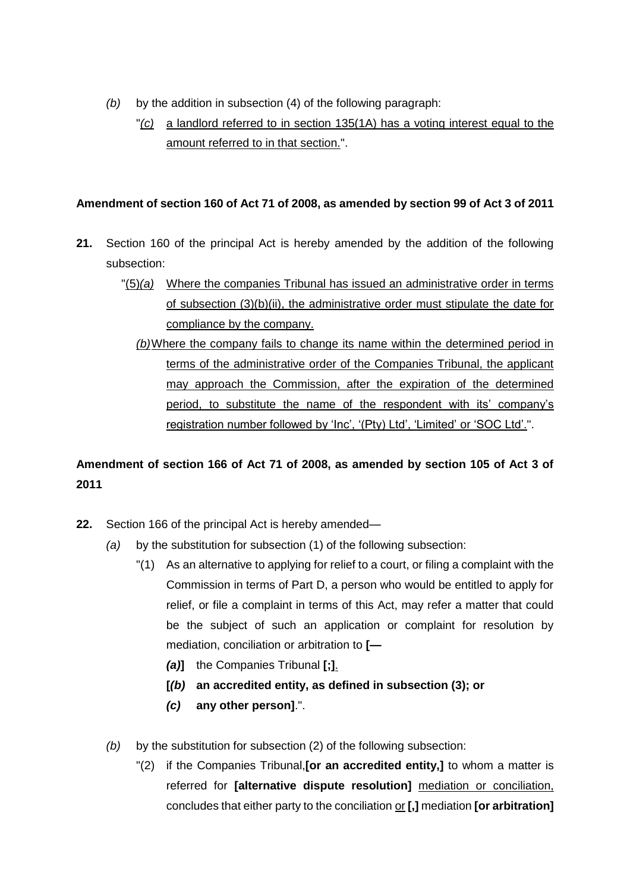- *(b)* by the addition in subsection (4) of the following paragraph:
	- "*(c)* a landlord referred to in section 135(1A) has a voting interest equal to the amount referred to in that section.".

## **Amendment of section 160 of Act 71 of 2008, as amended by section 99 of Act 3 of 2011**

- **21.** Section 160 of the principal Act is hereby amended by the addition of the following subsection:
	- "(5)*(a)* Where the companies Tribunal has issued an administrative order in terms of subsection (3)(b)(ii), the administrative order must stipulate the date for compliance by the company.
		- *(b)*Where the company fails to change its name within the determined period in terms of the administrative order of the Companies Tribunal, the applicant may approach the Commission, after the expiration of the determined period, to substitute the name of the respondent with its' company's registration number followed by 'Inc', '(Pty) Ltd', 'Limited' or 'SOC Ltd'.".

# **Amendment of section 166 of Act 71 of 2008, as amended by section 105 of Act 3 of 2011**

- **22.** Section 166 of the principal Act is hereby amended—
	- *(a)* by the substitution for subsection (1) of the following subsection:
		- "(1) As an alternative to applying for relief to a court, or filing a complaint with the Commission in terms of Part D, a person who would be entitled to apply for relief, or file a complaint in terms of this Act, may refer a matter that could be the subject of such an application or complaint for resolution by mediation, conciliation or arbitration to **[—**
			- *(a)***]** the Companies Tribunal **[;]**.
			- **[***(b)* **an accredited entity, as defined in subsection (3); or**
			- *(c)* **any other person]**.".
	- *(b)* by the substitution for subsection (2) of the following subsection:
		- "(2) if the Companies Tribunal,**[or an accredited entity,]** to whom a matter is referred for **[alternative dispute resolution]** mediation or conciliation, concludes that either party to the conciliation or **[,]** mediation **[or arbitration]**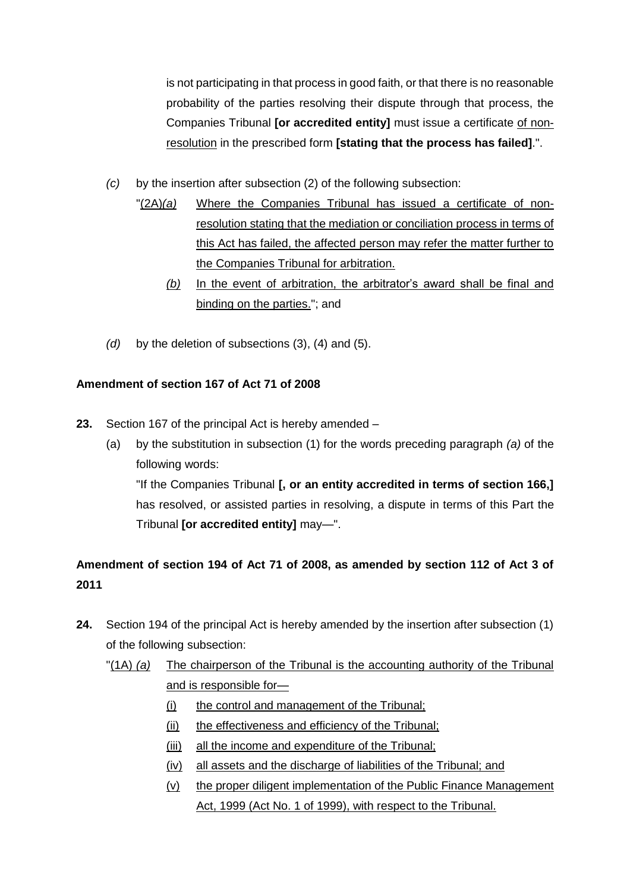is not participating in that process in good faith, or that there is no reasonable probability of the parties resolving their dispute through that process, the Companies Tribunal **[or accredited entity]** must issue a certificate of nonresolution in the prescribed form **[stating that the process has failed]**.".

- *(c)* by the insertion after subsection (2) of the following subsection:
	- "(2A)*(a)* Where the Companies Tribunal has issued a certificate of nonresolution stating that the mediation or conciliation process in terms of this Act has failed, the affected person may refer the matter further to the Companies Tribunal for arbitration.
		- *(b)* In the event of arbitration, the arbitrator's award shall be final and binding on the parties."; and
- *(d)* by the deletion of subsections (3), (4) and (5).

# **Amendment of section 167 of Act 71 of 2008**

- **23.** Section 167 of the principal Act is hereby amended
	- (a) by the substitution in subsection (1) for the words preceding paragraph *(a)* of the following words: "If the Companies Tribunal **[, or an entity accredited in terms of section 166,]**  has resolved, or assisted parties in resolving, a dispute in terms of this Part the Tribunal **[or accredited entity]** may—".

# **Amendment of section 194 of Act 71 of 2008, as amended by section 112 of Act 3 of 2011**

- **24.** Section 194 of the principal Act is hereby amended by the insertion after subsection (1) of the following subsection:
	- "(1A) *(a)* The chairperson of the Tribunal is the accounting authority of the Tribunal and is responsible for—
		- (i) the control and management of the Tribunal;
		- (ii) the effectiveness and efficiency of the Tribunal;
		- (iii) all the income and expenditure of the Tribunal;
		- (iv) all assets and the discharge of liabilities of the Tribunal; and
		- (v) the proper diligent implementation of the Public Finance Management Act, 1999 (Act No. 1 of 1999), with respect to the Tribunal.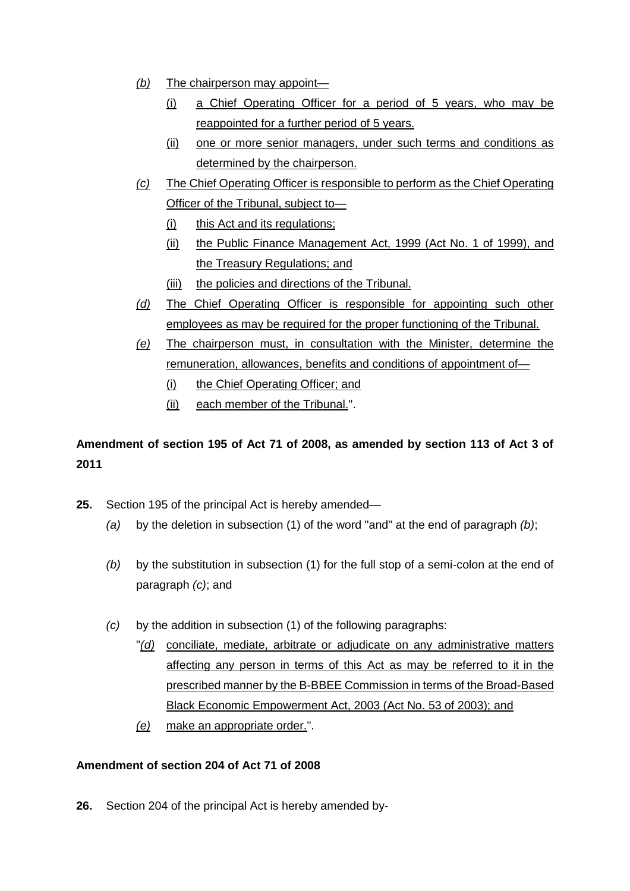- *(b)* The chairperson may appoint—
	- (i) a Chief Operating Officer for a period of 5 years, who may be reappointed for a further period of 5 years.
	- (ii) one or more senior managers, under such terms and conditions as determined by the chairperson.
- *(c)* The Chief Operating Officer is responsible to perform as the Chief Operating Officer of the Tribunal, subject to—
	- (i) this Act and its regulations;
	- (ii) the Public Finance Management Act, 1999 (Act No. 1 of 1999), and the Treasury Regulations; and
	- (iii) the policies and directions of the Tribunal.
- *(d)* The Chief Operating Officer is responsible for appointing such other employees as may be required for the proper functioning of the Tribunal.
- *(e)* The chairperson must, in consultation with the Minister, determine the remuneration, allowances, benefits and conditions of appointment of-
	- (i) the Chief Operating Officer; and
	- (ii) each member of the Tribunal.".

# **Amendment of section 195 of Act 71 of 2008, as amended by section 113 of Act 3 of 2011**

- **25.** Section 195 of the principal Act is hereby amended—
	- *(a)* by the deletion in subsection (1) of the word "and" at the end of paragraph *(b)*;
	- *(b)* by the substitution in subsection (1) for the full stop of a semi-colon at the end of paragraph *(c)*; and
	- *(c)* by the addition in subsection (1) of the following paragraphs:
		- "*(d)* conciliate, mediate, arbitrate or adjudicate on any administrative matters affecting any person in terms of this Act as may be referred to it in the prescribed manner by the B-BBEE Commission in terms of the Broad-Based Black Economic Empowerment Act, 2003 (Act No. 53 of 2003); and
			- *(e)* make an appropriate order.".

# **Amendment of section 204 of Act 71 of 2008**

**26.** Section 204 of the principal Act is hereby amended by-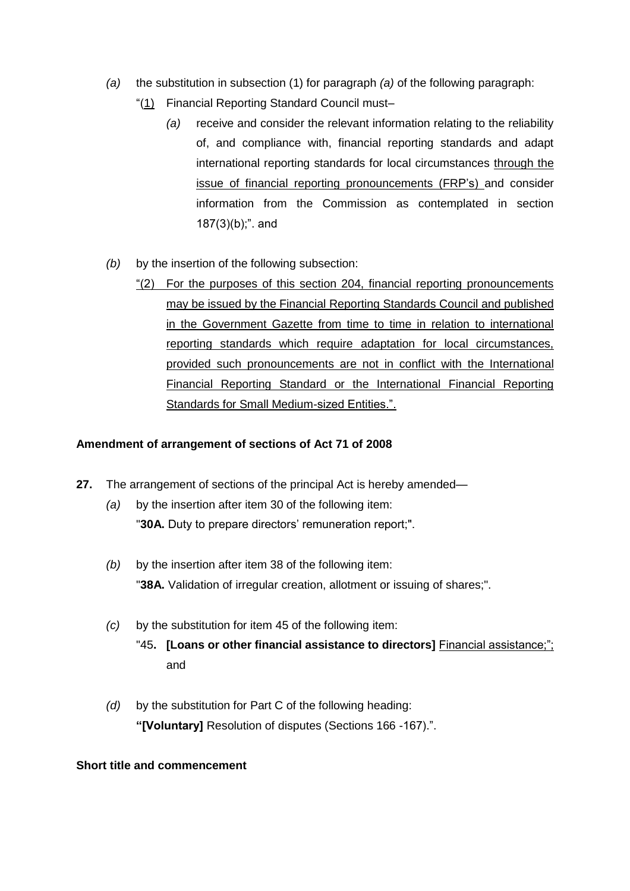- *(a)* the substitution in subsection (1) for paragraph *(a)* of the following paragraph:
	- "(1) Financial Reporting Standard Council must–
		- *(a)* receive and consider the relevant information relating to the reliability of, and compliance with, financial reporting standards and adapt international reporting standards for local circumstances through the issue of financial reporting pronouncements (FRP's) and consider information from the Commission as contemplated in section  $187(3)(b)$ ;". and
- *(b)* by the insertion of the following subsection:
	- "(2) For the purposes of this section 204, financial reporting pronouncements may be issued by the Financial Reporting Standards Council and published in the Government Gazette from time to time in relation to international reporting standards which require adaptation for local circumstances, provided such pronouncements are not in conflict with the International Financial Reporting Standard or the International Financial Reporting Standards for Small Medium-sized Entities.".

#### **Amendment of arrangement of sections of Act 71 of 2008**

- **27.** The arrangement of sections of the principal Act is hereby amended—
	- *(a)* by the insertion after item 30 of the following item: "**30A.** Duty to prepare directors' remuneration report;".
	- *(b)* by the insertion after item 38 of the following item: "**38A.** Validation of irregular creation, allotment or issuing of shares;".
	- *(c)* by the substitution for item 45 of the following item: "45**. [Loans or other financial assistance to directors]** Financial assistance;"; and
	- *(d)* by the substitution for Part C of the following heading: **"[Voluntary]** Resolution of disputes (Sections 166 -167).".

## **Short title and commencement**